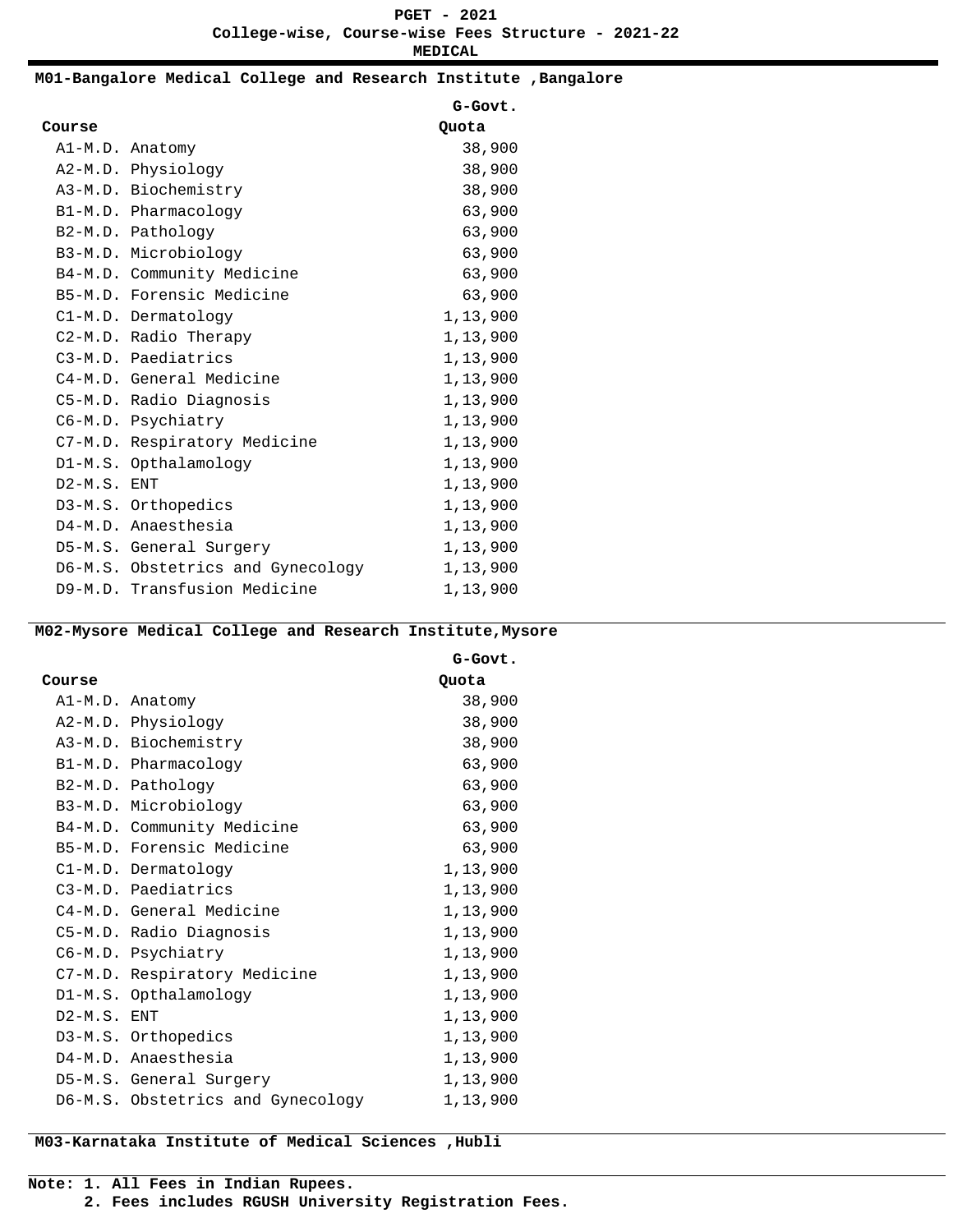#### **M01-Bangalore Medical College and Research Institute ,Bangalore**

|               |                                   | G-Govt.  |
|---------------|-----------------------------------|----------|
| Course        |                                   | Quota    |
|               | A1-M.D. Anatomy                   | 38,900   |
|               | A2-M.D. Physiology                | 38,900   |
|               | A3-M.D. Biochemistry              | 38,900   |
|               | B1-M.D. Pharmacology              | 63,900   |
|               | B2-M.D. Pathology                 | 63,900   |
|               | B3-M.D. Microbiology              | 63,900   |
|               | B4-M.D. Community Medicine        | 63,900   |
|               | B5-M.D. Forensic Medicine         | 63,900   |
|               | C1-M.D. Dermatology               | 1,13,900 |
|               | C2-M.D. Radio Therapy             | 1,13,900 |
|               | C3-M.D. Paediatrics               | 1,13,900 |
|               | C4-M.D. General Medicine          | 1,13,900 |
|               | C5-M.D. Radio Diagnosis           | 1,13,900 |
|               | C6-M.D. Psychiatry                | 1,13,900 |
|               | C7-M.D. Respiratory Medicine      | 1,13,900 |
|               | D1-M.S. Opthalamology             | 1,13,900 |
| $D2-M.S.$ ENT |                                   | 1,13,900 |
|               | D3-M.S. Orthopedics               | 1,13,900 |
|               | D4-M.D. Anaesthesia               | 1,13,900 |
|               | D5-M.S. General Surgery           | 1,13,900 |
|               | D6-M.S. Obstetrics and Gynecology | 1,13,900 |
|               | D9-M.D. Transfusion Medicine      | 1,13,900 |

### **M02-Mysore Medical College and Research Institute,Mysore**

|               |                                   | G-Govt.  |
|---------------|-----------------------------------|----------|
| Course        |                                   | Quota    |
|               | A1-M.D. Anatomy                   | 38,900   |
|               | A2-M.D. Physiology                | 38,900   |
|               | A3-M.D. Biochemistry              | 38,900   |
|               | B1-M.D. Pharmacology              | 63,900   |
|               | B2-M.D. Pathology                 | 63,900   |
|               | B3-M.D. Microbiology              | 63,900   |
|               | B4-M.D. Community Medicine        | 63,900   |
|               | B5-M.D. Forensic Medicine         | 63,900   |
|               | C1-M.D. Dermatology               | 1,13,900 |
|               | C3-M.D. Paediatrics               | 1,13,900 |
|               | C4-M.D. General Medicine          | 1,13,900 |
|               | C5-M.D. Radio Diagnosis           | 1,13,900 |
|               | C6-M.D. Psychiatry                | 1,13,900 |
|               | C7-M.D. Respiratory Medicine      | 1,13,900 |
|               | D1-M.S. Opthalamology             | 1,13,900 |
| $D2-M.S.$ ENT |                                   | 1,13,900 |
|               | D3-M.S. Orthopedics               | 1,13,900 |
|               | D4-M.D. Anaesthesia               | 1,13,900 |
|               | D5-M.S. General Surgery           | 1,13,900 |
|               | D6-M.S. Obstetrics and Gynecology | 1,13,900 |

**M03-Karnataka Institute of Medical Sciences ,Hubli**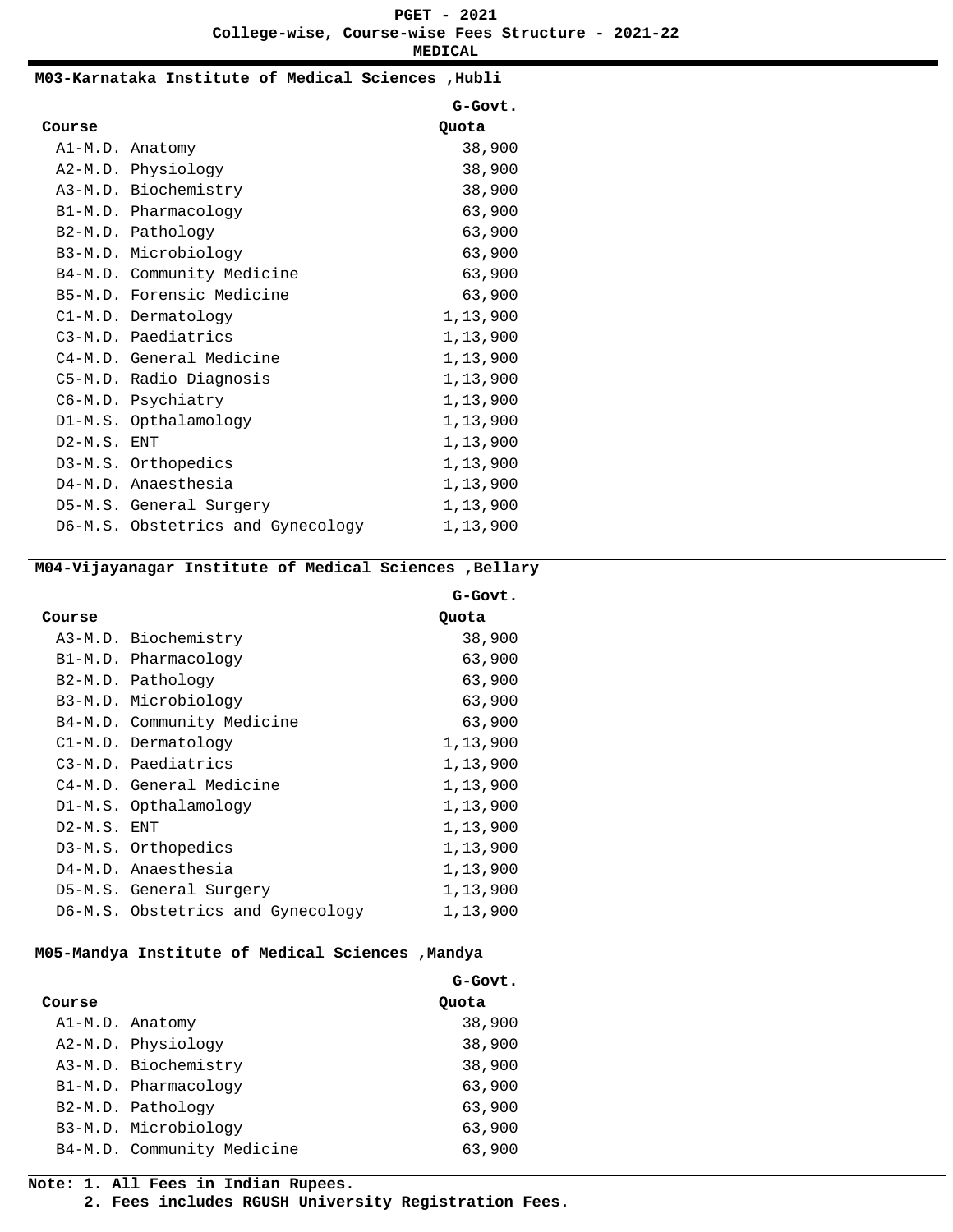#### **M03-Karnataka Institute of Medical Sciences ,Hubli**

|               |                                   | G-Govt.  |
|---------------|-----------------------------------|----------|
| Course        |                                   | Quota    |
|               | A1-M.D. Anatomy                   | 38,900   |
|               | A2-M.D. Physiology                | 38,900   |
|               | A3-M.D. Biochemistry              | 38,900   |
|               | B1-M.D. Pharmacology              | 63,900   |
|               | B2-M.D. Pathology                 | 63,900   |
|               | B3-M.D. Microbiology              | 63,900   |
|               | B4-M.D. Community Medicine        | 63,900   |
|               | B5-M.D. Forensic Medicine         | 63,900   |
|               | C1-M.D. Dermatology               | 1,13,900 |
|               | C3-M.D. Paediatrics               | 1,13,900 |
|               | C4-M.D. General Medicine          | 1,13,900 |
|               | C5-M.D. Radio Diagnosis           | 1,13,900 |
|               | C6-M.D. Psychiatry                | 1,13,900 |
|               | D1-M.S. Opthalamology             | 1,13,900 |
| $D2-M.S.$ ENT |                                   | 1,13,900 |
|               | D3-M.S. Orthopedics               | 1,13,900 |
|               | D4-M.D. Anaesthesia               | 1,13,900 |
|               | D5-M.S. General Surgery           | 1,13,900 |
|               | D6-M.S. Obstetrics and Gynecology | 1,13,900 |

### **M04-Vijayanagar Institute of Medical Sciences ,Bellary**

|             |                                   | G-Govt.  |
|-------------|-----------------------------------|----------|
| Course      |                                   | Quota    |
|             | A3-M.D. Biochemistry              | 38,900   |
|             | B1-M.D. Pharmacology              | 63,900   |
|             | B2-M.D. Pathology                 | 63,900   |
|             | B3-M.D. Microbiology              | 63,900   |
|             | B4-M.D. Community Medicine        | 63,900   |
|             | C1-M.D. Dermatology               | 1,13,900 |
|             | C3-M.D. Paediatrics               | 1,13,900 |
|             | C4-M.D. General Medicine          | 1,13,900 |
|             | D1-M.S. Opthalamology             | 1,13,900 |
| D2-M.S. ENT |                                   | 1,13,900 |
|             | D3-M.S. Orthopedics               | 1,13,900 |
|             | D4-M.D. Anaesthesia               | 1,13,900 |
|             | D5-M.S. General Surgery           | 1,13,900 |
|             | D6-M.S. Obstetrics and Gynecology | 1,13,900 |

### **M05-Mandya Institute of Medical Sciences ,Mandya**

|        |                            | G-Govt. |
|--------|----------------------------|---------|
| Course |                            | Quota   |
|        | A1-M.D. Anatomy            | 38,900  |
|        | A2-M.D. Physiology         | 38,900  |
|        | A3-M.D. Biochemistry       | 38,900  |
|        | B1-M.D. Pharmacology       | 63,900  |
|        | B2-M.D. Pathology          | 63,900  |
|        | B3-M.D. Microbiology       | 63,900  |
|        | B4-M.D. Community Medicine | 63,900  |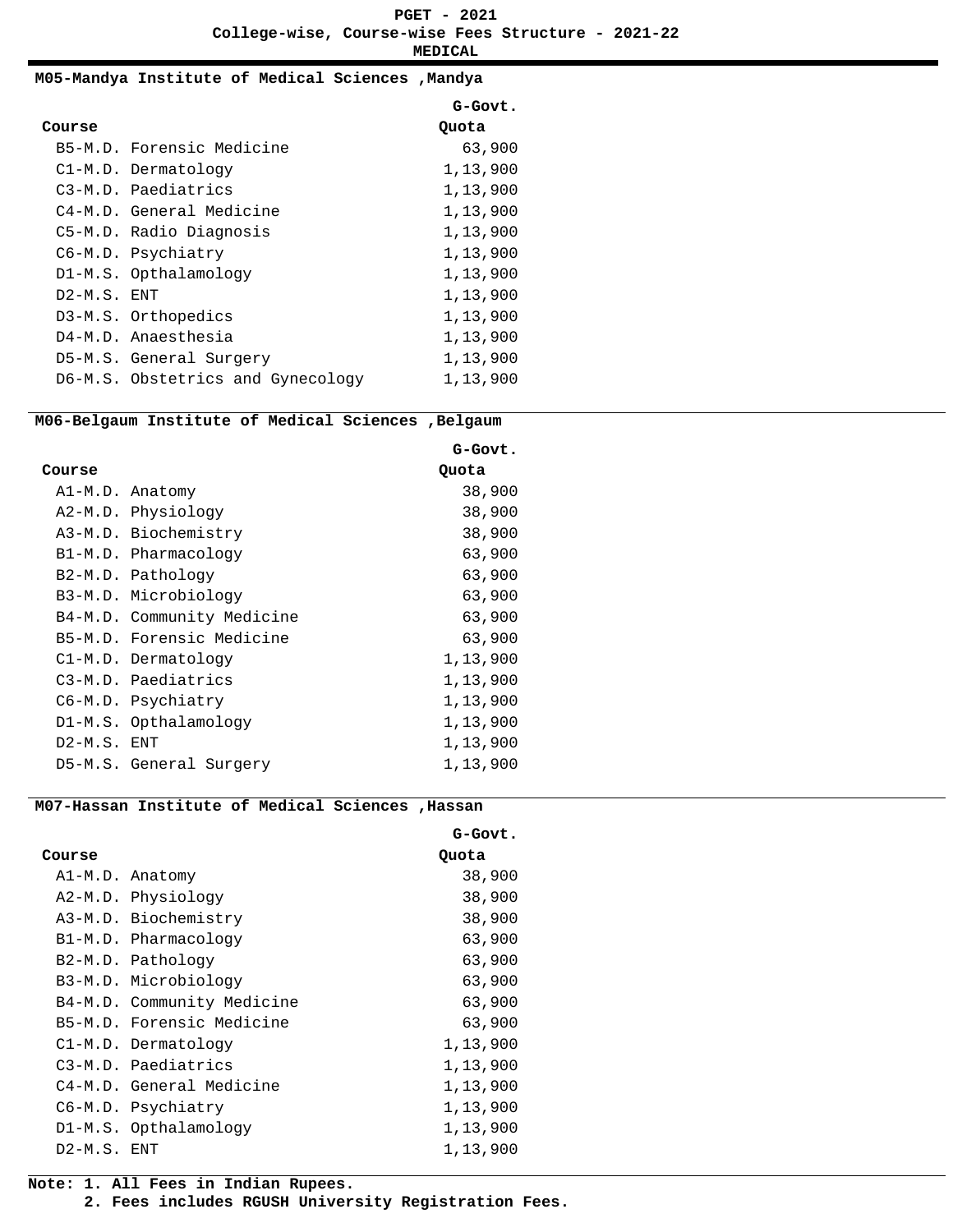#### **M05-Mandya Institute of Medical Sciences ,Mandya**

|             |                                   | G-Govt.  |
|-------------|-----------------------------------|----------|
| Course      |                                   | Quota    |
|             | B5-M.D. Forensic Medicine         | 63,900   |
|             | C1-M.D. Dermatology               | 1,13,900 |
|             | C3-M.D. Paediatrics               | 1,13,900 |
|             | C4-M.D. General Medicine          | 1,13,900 |
|             | C5-M.D. Radio Diagnosis           | 1,13,900 |
|             | C6-M.D. Psychiatry                | 1,13,900 |
|             | D1-M.S. Opthalamology             | 1,13,900 |
| D2-M.S. ENT |                                   | 1,13,900 |
|             | D3-M.S. Orthopedics               | 1,13,900 |
|             | D4-M.D. Anaesthesia               | 1,13,900 |
|             | D5-M.S. General Surgery           | 1,13,900 |
|             | D6-M.S. Obstetrics and Gynecology | 1,13,900 |

# **M06-Belgaum Institute of Medical Sciences ,Belgaum**

|               |                            | G-Govt.  |
|---------------|----------------------------|----------|
| Course        |                            | Quota    |
|               | Al-M.D. Anatomy            | 38,900   |
|               | A2-M.D. Physiology         | 38,900   |
|               | A3-M.D. Biochemistry       | 38,900   |
|               | B1-M.D. Pharmacology       | 63,900   |
|               | B2-M.D. Pathology          | 63,900   |
|               | B3-M.D. Microbiology       | 63,900   |
|               | B4-M.D. Community Medicine | 63,900   |
|               | B5-M.D. Forensic Medicine  | 63,900   |
|               | C1-M.D. Dermatology        | 1,13,900 |
|               | C3-M.D. Paediatrics        | 1,13,900 |
|               | C6-M.D. Psychiatry         | 1,13,900 |
|               | D1-M.S. Opthalamology      | 1,13,900 |
| $D2-M.S.$ ENT |                            | 1,13,900 |
|               | D5-M.S. General Surgery    | 1,13,900 |

### **M07-Hassan Institute of Medical Sciences ,Hassan**

|               |                            | G-Govt.  |
|---------------|----------------------------|----------|
| Course        |                            | Quota    |
|               | Al-M.D. Anatomy            | 38,900   |
|               | A2-M.D. Physiology         | 38,900   |
|               | A3-M.D. Biochemistry       | 38,900   |
|               | B1-M.D. Pharmacology       | 63,900   |
|               | B2-M.D. Pathology          | 63,900   |
|               | B3-M.D. Microbiology       | 63,900   |
|               | B4-M.D. Community Medicine | 63,900   |
|               | B5-M.D. Forensic Medicine  | 63,900   |
|               | Cl-M.D. Dermatology        | 1,13,900 |
|               | C3-M.D. Paediatrics        | 1,13,900 |
|               | C4-M.D. General Medicine   | 1,13,900 |
|               | C6-M.D. Psychiatry         | 1,13,900 |
|               | D1-M.S. Opthalamology      | 1,13,900 |
| $D2-M.S.$ ENT |                            | 1,13,900 |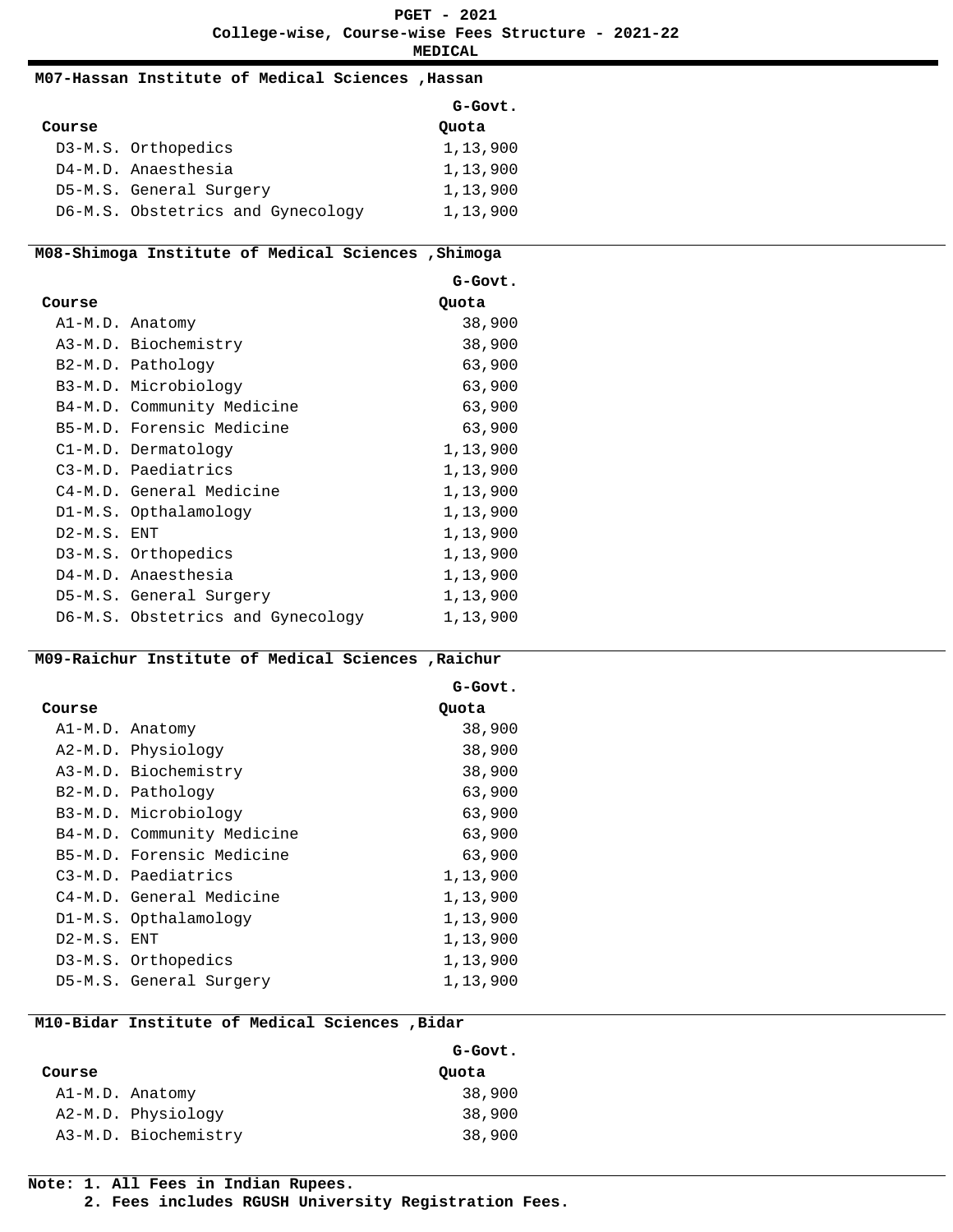#### **M07-Hassan Institute of Medical Sciences ,Hassan**

|        |                                   | G-Govt.  |
|--------|-----------------------------------|----------|
| Course |                                   | Quota    |
|        | D3-M.S. Orthopedics               | 1,13,900 |
|        | D4-M.D. Anaesthesia               | 1,13,900 |
|        | D5-M.S. General Surgery           | 1,13,900 |
|        | D6-M.S. Obstetrics and Gynecology | 1,13,900 |

#### **M08-Shimoga Institute of Medical Sciences ,Shimoga**

|               |                                   | G-Govt.  |
|---------------|-----------------------------------|----------|
| Course        |                                   | Quota    |
|               | Al-M.D. Anatomy                   | 38,900   |
|               | A3-M.D. Biochemistry              | 38,900   |
|               | B2-M.D. Pathology                 | 63,900   |
|               | B3-M.D. Microbiology              | 63,900   |
|               | B4-M.D. Community Medicine        | 63,900   |
|               | B5-M.D. Forensic Medicine         | 63,900   |
|               | C1-M.D. Dermatology               | 1,13,900 |
|               | C3-M.D. Paediatrics               | 1,13,900 |
|               | C4-M.D. General Medicine          | 1,13,900 |
|               | D1-M.S. Opthalamology             | 1,13,900 |
| $D2-M.S.$ ENT |                                   | 1,13,900 |
|               | D3-M.S. Orthopedics               | 1,13,900 |
|               | D4-M.D. Anaesthesia               | 1,13,900 |
|               | D5-M.S. General Surgery           | 1,13,900 |
|               | D6-M.S. Obstetrics and Gynecology | 1,13,900 |

### **M09-Raichur Institute of Medical Sciences ,Raichur**

| G-Govt.                                                                                                                                                                                                                                                                                                              |
|----------------------------------------------------------------------------------------------------------------------------------------------------------------------------------------------------------------------------------------------------------------------------------------------------------------------|
| Quota                                                                                                                                                                                                                                                                                                                |
| 38,900                                                                                                                                                                                                                                                                                                               |
| 38,900                                                                                                                                                                                                                                                                                                               |
| 38,900                                                                                                                                                                                                                                                                                                               |
| 63,900                                                                                                                                                                                                                                                                                                               |
| 63,900                                                                                                                                                                                                                                                                                                               |
| 63,900                                                                                                                                                                                                                                                                                                               |
| 63,900                                                                                                                                                                                                                                                                                                               |
| 1,13,900                                                                                                                                                                                                                                                                                                             |
| 1,13,900                                                                                                                                                                                                                                                                                                             |
| 1,13,900                                                                                                                                                                                                                                                                                                             |
| 1,13,900                                                                                                                                                                                                                                                                                                             |
| 1,13,900                                                                                                                                                                                                                                                                                                             |
| 1,13,900                                                                                                                                                                                                                                                                                                             |
| Al-M.D. Anatomy<br>A2-M.D. Physiology<br>A3-M.D. Biochemistry<br>B2-M.D. Pathology<br>B3-M.D. Microbiology<br>B4-M.D. Community Medicine<br>B5-M.D. Forensic Medicine<br>C3-M.D. Paediatrics<br>C4-M.D. General Medicine<br>D1-M.S. Opthalamology<br>$D2-M.S.$ ENT<br>D3-M.S. Orthopedics<br>D5-M.S. General Surgery |

#### **M10-Bidar Institute of Medical Sciences ,Bidar**

|        |                      | G-Govt. |
|--------|----------------------|---------|
| Course |                      | Quota   |
|        | A1-M.D. Anatomy      | 38,900  |
|        | A2-M.D. Physiology   | 38,900  |
|        | A3-M.D. Biochemistry | 38,900  |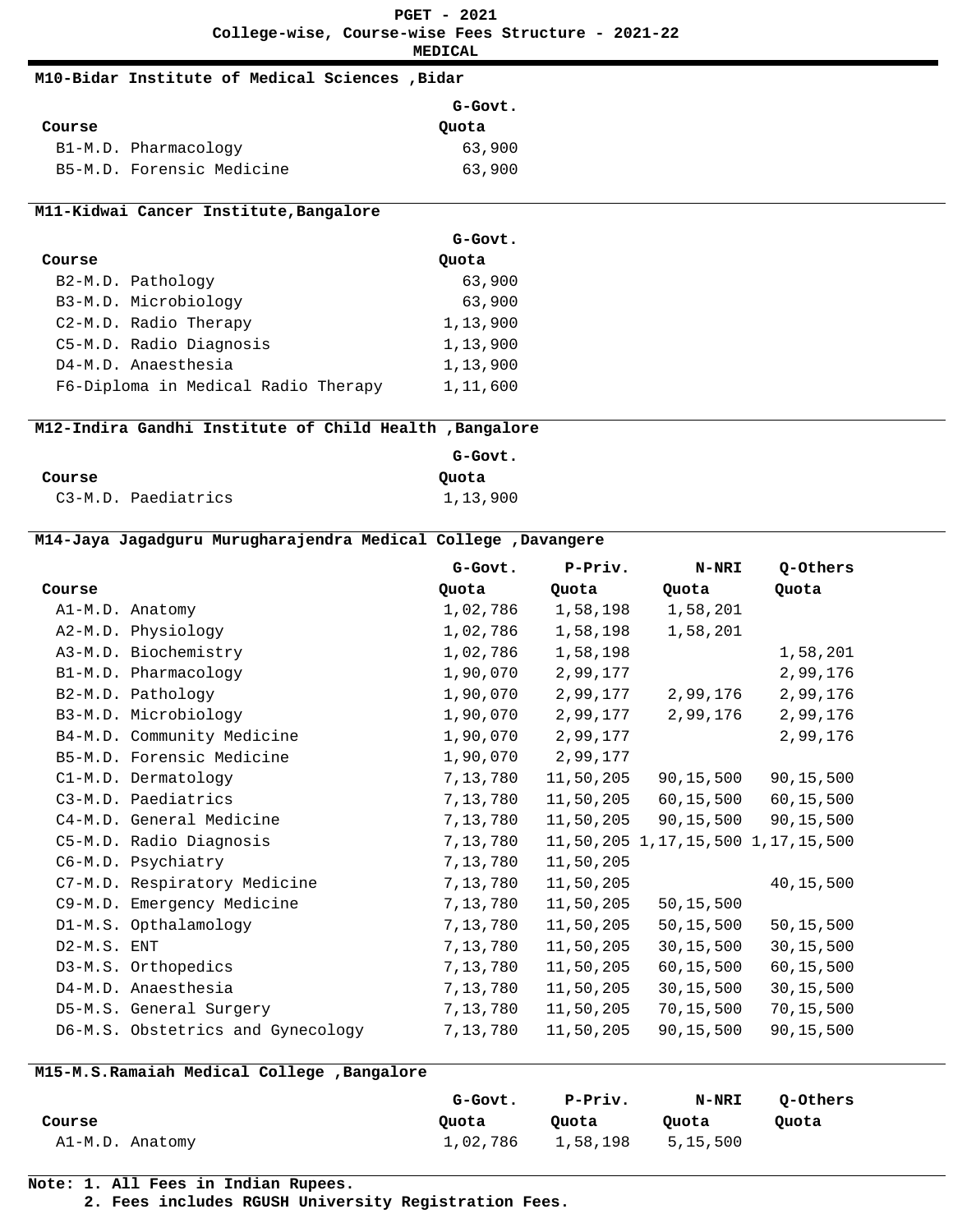**MEDICAL**

# **M10-Bidar Institute of Medical Sciences ,Bidar**

|        |                           | G-Govt. |
|--------|---------------------------|---------|
| Course |                           | Quota   |
|        | B1-M.D. Pharmacology      | 63,900  |
|        | B5-M.D. Forensic Medicine | 63,900  |

### **M11-Kidwai Cancer Institute,Bangalore**

|                                     | G-Govt.  |
|-------------------------------------|----------|
| Course                              | Quota    |
| B2-M.D. Pathology                   | 63,900   |
| B3-M.D. Microbiology                | 63,900   |
| C2-M.D. Radio Therapy               | 1,13,900 |
| C5-M.D. Radio Diagnosis             | 1,13,900 |
| D4-M.D. Anaesthesia                 | 1,13,900 |
| F6-Diploma in Medical Radio Therapy | 1,11,600 |

# **M12-Indira Gandhi Institute of Child Health ,Bangalore**

|        |                     | G-Govt.  |
|--------|---------------------|----------|
| Course |                     | Ouota    |
|        | C3-M.D. Paediatrics | 1,13,900 |

# **M14-Jaya Jagadguru Murugharajendra Medical College ,Davangere**

|             |                                   | G-Govt.  | P-Priv.   | <b>N-NRI</b>                      | Q-Others    |
|-------------|-----------------------------------|----------|-----------|-----------------------------------|-------------|
| Course      |                                   | Quota    | Quota     | Quota                             | Quota       |
|             | A1-M.D. Anatomy                   | 1,02,786 | 1,58,198  | 1,58,201                          |             |
|             | A2-M.D. Physiology                | 1,02,786 | 1,58,198  | 1,58,201                          |             |
|             | A3-M.D. Biochemistry              | 1,02,786 | 1,58,198  |                                   | 1,58,201    |
|             | B1-M.D. Pharmacology              | 1,90,070 | 2,99,177  |                                   | 2,99,176    |
|             | B2-M.D. Pathology                 | 1,90,070 | 2,99,177  | 2,99,176                          | 2,99,176    |
|             | B3-M.D. Microbiology              | 1,90,070 | 2,99,177  | 2,99,176                          | 2,99,176    |
|             | B4-M.D. Community Medicine        | 1,90,070 | 2,99,177  |                                   | 2,99,176    |
|             | B5-M.D. Forensic Medicine         | 1,90,070 | 2,99,177  |                                   |             |
|             | C1-M.D. Dermatology               | 7,13,780 | 11,50,205 | 90,15,500                         | 90,15,500   |
|             | C3-M.D. Paediatrics               | 7,13,780 | 11,50,205 | 60,15,500                         | 60,15,500   |
|             | C4-M.D. General Medicine          | 7,13,780 | 11,50,205 | 90,15,500                         | 90,15,500   |
|             | C5-M.D. Radio Diagnosis           | 7,13,780 |           | 11,50,205 1,17,15,500 1,17,15,500 |             |
|             | C6-M.D. Psychiatry                | 7,13,780 | 11,50,205 |                                   |             |
|             | C7-M.D. Respiratory Medicine      | 7,13,780 | 11,50,205 |                                   | 40,15,500   |
|             | C9-M.D. Emergency Medicine        | 7,13,780 | 11,50,205 | 50,15,500                         |             |
|             | D1-M.S. Opthalamology             | 7,13,780 | 11,50,205 | 50,15,500                         | 50,15,500   |
| D2-M.S. ENT |                                   | 7,13,780 | 11,50,205 | 30, 15, 500                       | 30, 15, 500 |
|             | D3-M.S. Orthopedics               | 7,13,780 | 11,50,205 | 60,15,500                         | 60,15,500   |
|             | D4-M.D. Anaesthesia               | 7,13,780 | 11,50,205 | 30,15,500                         | 30, 15, 500 |
|             | D5-M.S. General Surgery           | 7,13,780 | 11,50,205 | 70,15,500                         | 70,15,500   |
|             | D6-M.S. Obstetrics and Gynecology | 7,13,780 | 11,50,205 | 90,15,500                         | 90,15,500   |

### **M15-M.S.Ramaiah Medical College ,Bangalore**

|                 | G-Govt. | P-Priv.                    | N-NRI | 0-Others |
|-----------------|---------|----------------------------|-------|----------|
| Course          | Ouota   | Ouota                      | Ouota | Ouota    |
| Al-M.D. Anatomy |         | 1,02,786 1,58,198 5,15,500 |       |          |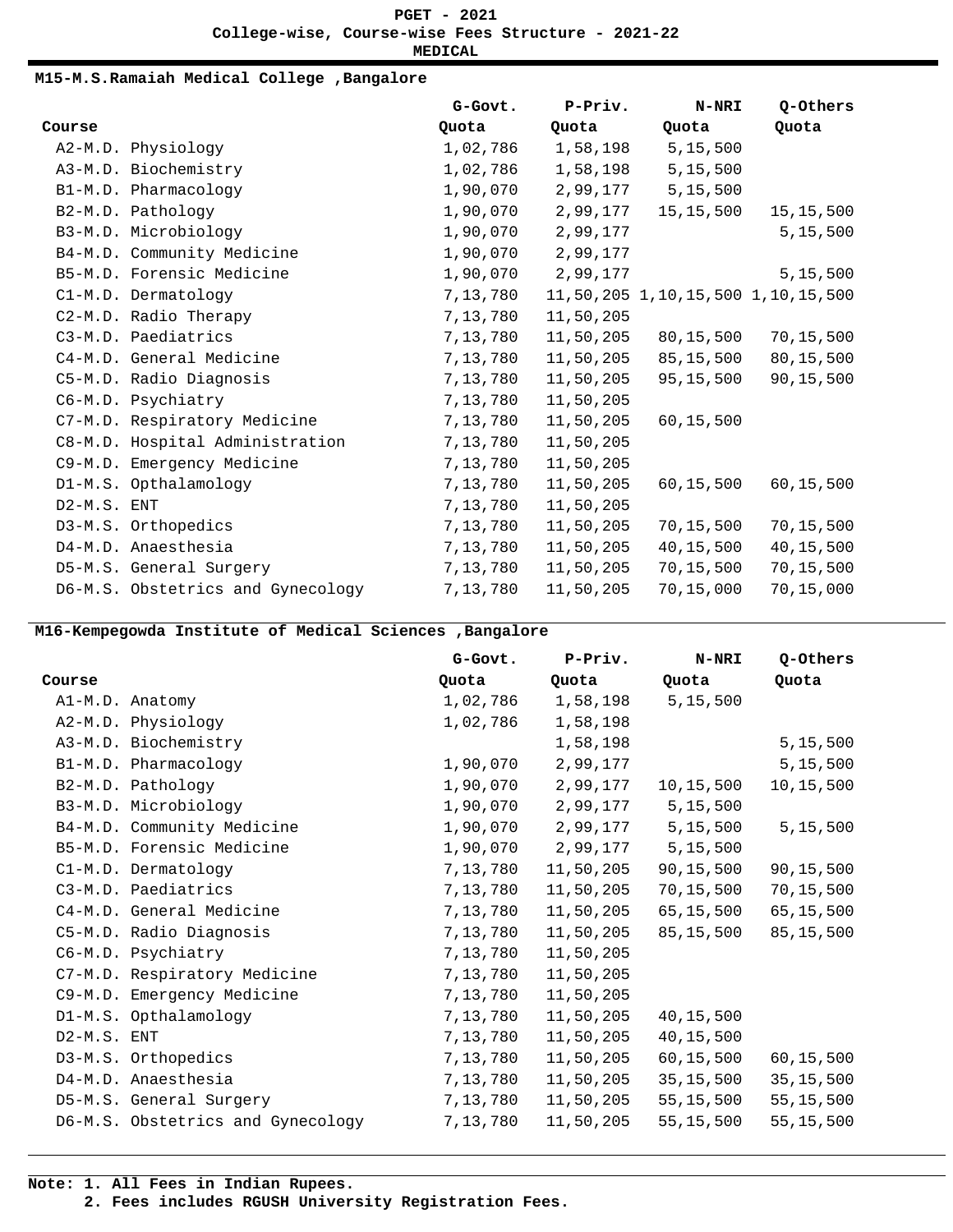### **MEDICAL**

## **M15-M.S.Ramaiah Medical College ,Bangalore**

|             |                                   | G-Govt.  | P-Priv.   | <b>N-NRI</b>                      | Q-Others    |
|-------------|-----------------------------------|----------|-----------|-----------------------------------|-------------|
| Course      |                                   | Quota    | Quota     | Quota                             | Quota       |
|             | A2-M.D. Physiology                | 1,02,786 | 1,58,198  | 5, 15, 500                        |             |
|             | A3-M.D. Biochemistry              | 1,02,786 | 1,58,198  | 5, 15, 500                        |             |
|             | B1-M.D. Pharmacology              | 1,90,070 | 2,99,177  | 5, 15, 500                        |             |
|             | B2-M.D. Pathology                 | 1,90,070 | 2,99,177  | 15,15,500                         | 15, 15, 500 |
|             | B3-M.D. Microbiology              | 1,90,070 | 2,99,177  |                                   | 5, 15, 500  |
|             | B4-M.D. Community Medicine        | 1,90,070 | 2,99,177  |                                   |             |
|             | B5-M.D. Forensic Medicine         | 1,90,070 | 2,99,177  |                                   | 5, 15, 500  |
|             | C1-M.D. Dermatology               | 7,13,780 |           | 11,50,205 1,10,15,500 1,10,15,500 |             |
|             | C2-M.D. Radio Therapy             | 7,13,780 | 11,50,205 |                                   |             |
|             | C3-M.D. Paediatrics               | 7,13,780 | 11,50,205 | 80,15,500                         | 70,15,500   |
|             | C4-M.D. General Medicine          | 7,13,780 | 11,50,205 | 85,15,500                         | 80,15,500   |
|             | C5-M.D. Radio Diagnosis           | 7,13,780 | 11,50,205 | 95,15,500                         | 90,15,500   |
|             | C6-M.D. Psychiatry                | 7,13,780 | 11,50,205 |                                   |             |
|             | C7-M.D. Respiratory Medicine      | 7,13,780 | 11,50,205 | 60,15,500                         |             |
|             | C8-M.D. Hospital Administration   | 7,13,780 | 11,50,205 |                                   |             |
|             | C9-M.D. Emergency Medicine        | 7,13,780 | 11,50,205 |                                   |             |
|             | D1-M.S. Opthalamology             | 7,13,780 | 11,50,205 | 60,15,500                         | 60,15,500   |
| D2-M.S. ENT |                                   | 7,13,780 | 11,50,205 |                                   |             |
|             | D3-M.S. Orthopedics               | 7,13,780 | 11,50,205 | 70,15,500                         | 70,15,500   |
|             | D4-M.D. Anaesthesia               | 7,13,780 | 11,50,205 | 40, 15, 500                       | 40,15,500   |
|             | D5-M.S. General Surgery           | 7,13,780 | 11,50,205 | 70,15,500                         | 70,15,500   |
|             | D6-M.S. Obstetrics and Gynecology | 7,13,780 | 11,50,205 | 70,15,000                         | 70,15,000   |

## **M16-Kempegowda Institute of Medical Sciences ,Bangalore**

|             |                                   | G-Govt.  | P-Priv.   | <b>N-NRI</b> | Q-Others    |
|-------------|-----------------------------------|----------|-----------|--------------|-------------|
| Course      |                                   | Quota    | Quota     | Quota        | Quota       |
|             | A1-M.D. Anatomy                   | 1,02,786 | 1,58,198  | 5, 15, 500   |             |
|             | A2-M.D. Physiology                | 1,02,786 | 1,58,198  |              |             |
|             | A3-M.D. Biochemistry              |          | 1,58,198  |              | 5, 15, 500  |
|             | B1-M.D. Pharmacology              | 1,90,070 | 2,99,177  |              | 5, 15, 500  |
|             | B2-M.D. Pathology                 | 1,90,070 | 2,99,177  | 10,15,500    | 10,15,500   |
|             | B3-M.D. Microbiology              | 1,90,070 | 2,99,177  | 5, 15, 500   |             |
|             | B4-M.D. Community Medicine        | 1,90,070 | 2,99,177  | 5,15,500     | 5,15,500    |
|             | B5-M.D. Forensic Medicine         | 1,90,070 | 2,99,177  | 5, 15, 500   |             |
|             | C1-M.D. Dermatology               | 7,13,780 | 11,50,205 | 90,15,500    | 90,15,500   |
|             | C3-M.D. Paediatrics               | 7,13,780 | 11,50,205 | 70,15,500    | 70,15,500   |
|             | C4-M.D. General Medicine          | 7,13,780 | 11,50,205 | 65,15,500    | 65, 15, 500 |
|             | C5-M.D. Radio Diagnosis           | 7,13,780 | 11,50,205 | 85,15,500    | 85,15,500   |
|             | C6-M.D. Psychiatry                | 7,13,780 | 11,50,205 |              |             |
|             | C7-M.D. Respiratory Medicine      | 7,13,780 | 11,50,205 |              |             |
|             | C9-M.D. Emergency Medicine        | 7,13,780 | 11,50,205 |              |             |
|             | D1-M.S. Opthalamology             | 7,13,780 | 11,50,205 | 40,15,500    |             |
| D2-M.S. ENT |                                   | 7,13,780 | 11,50,205 | 40,15,500    |             |
|             | D3-M.S. Orthopedics               | 7,13,780 | 11,50,205 | 60,15,500    | 60,15,500   |
|             | D4-M.D. Anaesthesia               | 7,13,780 | 11,50,205 | 35,15,500    | 35, 15, 500 |
|             | D5-M.S. General Surgery           | 7,13,780 | 11,50,205 | 55,15,500    | 55, 15, 500 |
|             | D6-M.S. Obstetrics and Gynecology | 7,13,780 | 11,50,205 | 55,15,500    | 55, 15, 500 |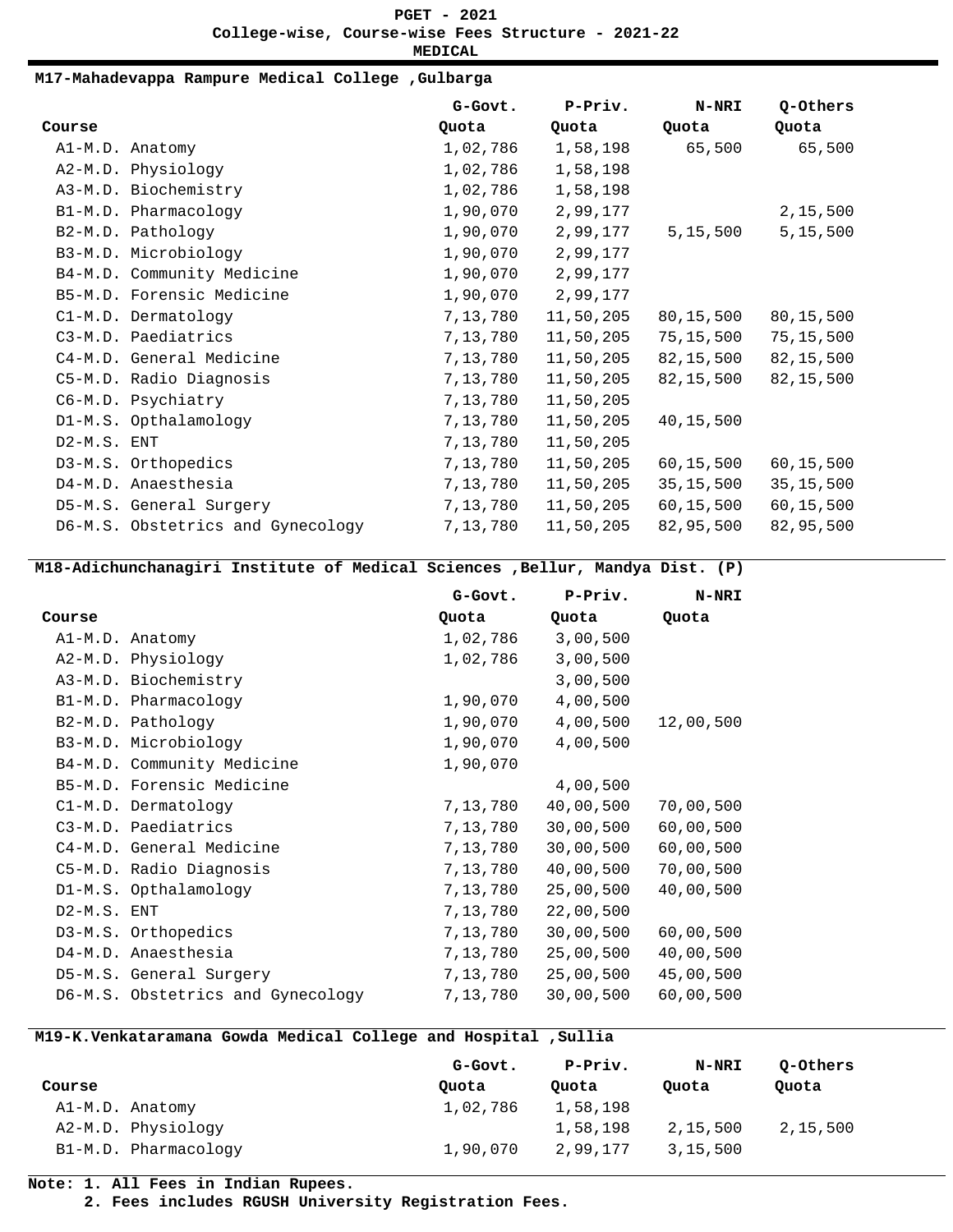#### **MEDICAL**

# **M17-Mahadevappa Rampure Medical College ,Gulbarga**

|             |                                   | G-Govt.  | P-Priv.   | <b>N-NRI</b> | Q-Others    |
|-------------|-----------------------------------|----------|-----------|--------------|-------------|
| Course      |                                   | Quota    | Quota     | Quota        | Quota       |
|             | A1-M.D. Anatomy                   | 1,02,786 | 1,58,198  | 65,500       | 65,500      |
|             | A2-M.D. Physiology                | 1,02,786 | 1,58,198  |              |             |
|             | A3-M.D. Biochemistry              | 1,02,786 | 1,58,198  |              |             |
|             | B1-M.D. Pharmacology              | 1,90,070 | 2,99,177  |              | 2,15,500    |
|             | B2-M.D. Pathology                 | 1,90,070 | 2,99,177  | 5,15,500     | 5, 15, 500  |
|             | B3-M.D. Microbiology              | 1,90,070 | 2,99,177  |              |             |
|             | B4-M.D. Community Medicine        | 1,90,070 | 2,99,177  |              |             |
|             | B5-M.D. Forensic Medicine         | 1,90,070 | 2,99,177  |              |             |
|             | C1-M.D. Dermatology               | 7,13,780 | 11,50,205 | 80,15,500    | 80,15,500   |
|             | C3-M.D. Paediatrics               | 7,13,780 | 11,50,205 | 75,15,500    | 75,15,500   |
|             | C4-M.D. General Medicine          | 7,13,780 | 11,50,205 | 82,15,500    | 82,15,500   |
|             | C5-M.D. Radio Diagnosis           | 7,13,780 | 11,50,205 | 82,15,500    | 82,15,500   |
|             | C6-M.D. Psychiatry                | 7,13,780 | 11,50,205 |              |             |
|             | D1-M.S. Opthalamology             | 7,13,780 | 11,50,205 | 40,15,500    |             |
| D2-M.S. ENT |                                   | 7,13,780 | 11,50,205 |              |             |
|             | D3-M.S. Orthopedics               | 7,13,780 | 11,50,205 | 60,15,500    | 60,15,500   |
|             | D4-M.D. Anaesthesia               | 7,13,780 | 11,50,205 | 35, 15, 500  | 35, 15, 500 |
|             | D5-M.S. General Surgery           | 7,13,780 | 11,50,205 | 60,15,500    | 60, 15, 500 |
|             | D6-M.S. Obstetrics and Gynecology | 7,13,780 | 11,50,205 | 82,95,500    | 82,95,500   |
|             |                                   |          |           |              |             |

**M18-Adichunchanagiri Institute of Medical Sciences ,Bellur, Mandya Dist. (P)**

|             |                                   | G-Govt.  | P-Priv.   | <b>N-NRI</b> |
|-------------|-----------------------------------|----------|-----------|--------------|
| Course      |                                   | Quota    | Quota     | Quota        |
|             | A1-M.D. Anatomy                   | 1,02,786 | 3,00,500  |              |
|             | A2-M.D. Physiology                | 1,02,786 | 3,00,500  |              |
|             | A3-M.D. Biochemistry              |          | 3,00,500  |              |
|             | B1-M.D. Pharmacology              | 1,90,070 | 4,00,500  |              |
|             | B2-M.D. Pathology                 | 1,90,070 | 4,00,500  | 12,00,500    |
|             | B3-M.D. Microbiology              | 1,90,070 | 4,00,500  |              |
|             | B4-M.D. Community Medicine        | 1,90,070 |           |              |
|             | B5-M.D. Forensic Medicine         |          | 4,00,500  |              |
|             | C1-M.D. Dermatology               | 7,13,780 | 40,00,500 | 70,00,500    |
|             | C3-M.D. Paediatrics               | 7,13,780 | 30,00,500 | 60,00,500    |
|             | C4-M.D. General Medicine          | 7,13,780 | 30,00,500 | 60,00,500    |
|             | C5-M.D. Radio Diagnosis           | 7,13,780 | 40,00,500 | 70,00,500    |
|             | D1-M.S. Opthalamology             | 7,13,780 | 25,00,500 | 40,00,500    |
| D2-M.S. ENT |                                   | 7,13,780 | 22,00,500 |              |
|             | D3-M.S. Orthopedics               | 7,13,780 | 30,00,500 | 60,00,500    |
|             | D4-M.D. Anaesthesia               | 7,13,780 | 25,00,500 | 40,00,500    |
|             | D5-M.S. General Surgery           | 7,13,780 | 25,00,500 | 45,00,500    |
|             | D6-M.S. Obstetrics and Gynecology | 7,13,780 | 30,00,500 | 60,00,500    |

# **M19-K.Venkataramana Gowda Medical College and Hospital ,Sullia**

|                      | G-Govt.  | P-Priv.  | N-NRI    | Q-Others |
|----------------------|----------|----------|----------|----------|
| Course               | Quota    | Ouota    | Ouota    | Ouota    |
| A1-M.D. Anatomy      | 1,02,786 | 1,58,198 |          |          |
| A2-M.D. Physiology   |          | 1,58,198 | 2,15,500 | 2,15,500 |
| B1-M.D. Pharmacology | 1,90,070 | 2,99,177 | 3,15,500 |          |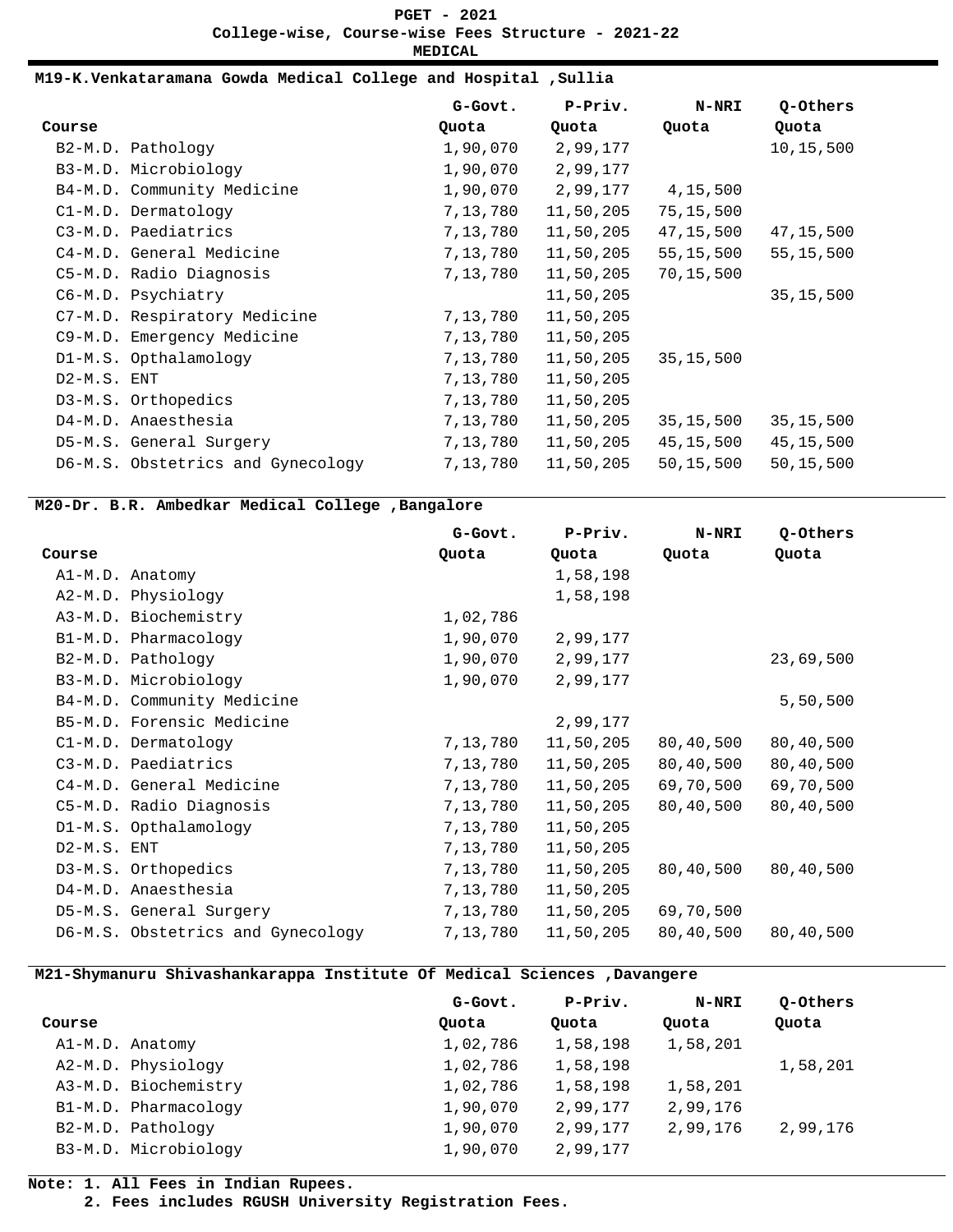#### **MEDICAL**

## **M19-K.Venkataramana Gowda Medical College and Hospital ,Sullia**

|             |                                   | G-Govt.  | P-Priv.   | <b>N-NRI</b> | Q-Others    |
|-------------|-----------------------------------|----------|-----------|--------------|-------------|
| Course      |                                   | Quota    | Quota     | Quota        | Quota       |
|             | B2-M.D. Pathology                 | 1,90,070 | 2,99,177  |              | 10,15,500   |
|             | B3-M.D. Microbiology              | 1,90,070 | 2,99,177  |              |             |
|             | B4-M.D. Community Medicine        | 1,90,070 | 2,99,177  | 4,15,500     |             |
|             | C1-M.D. Dermatology               | 7,13,780 | 11,50,205 | 75,15,500    |             |
|             | C3-M.D. Paediatrics               | 7,13,780 | 11,50,205 | 47,15,500    | 47,15,500   |
|             | C4-M.D. General Medicine          | 7,13,780 | 11,50,205 | 55,15,500    | 55,15,500   |
|             | C5-M.D. Radio Diagnosis           | 7,13,780 | 11,50,205 | 70,15,500    |             |
|             | C6-M.D. Psychiatry                |          | 11,50,205 |              | 35, 15, 500 |
|             | C7-M.D. Respiratory Medicine      | 7,13,780 | 11,50,205 |              |             |
|             | C9-M.D. Emergency Medicine        | 7,13,780 | 11,50,205 |              |             |
|             | D1-M.S. Opthalamology             | 7,13,780 | 11,50,205 | 35, 15, 500  |             |
| D2-M.S. ENT |                                   | 7,13,780 | 11,50,205 |              |             |
|             | D3-M.S. Orthopedics               | 7,13,780 | 11,50,205 |              |             |
|             | D4-M.D. Anaesthesia               | 7,13,780 | 11,50,205 | 35,15,500    | 35, 15, 500 |
|             | D5-M.S. General Surgery           | 7,13,780 | 11,50,205 | 45,15,500    | 45, 15, 500 |
|             | D6-M.S. Obstetrics and Gynecology | 7,13,780 | 11,50,205 | 50,15,500    | 50,15,500   |
|             |                                   |          |           |              |             |

**M20-Dr. B.R. Ambedkar Medical College ,Bangalore**

|             |                                   | G-Govt.  | P-Priv.   | <b>N-NRI</b> | Q-Others  |
|-------------|-----------------------------------|----------|-----------|--------------|-----------|
| Course      |                                   | Quota    | Quota     | Quota        | Quota     |
|             | A1-M.D. Anatomy                   |          | 1,58,198  |              |           |
|             | A2-M.D. Physiology                |          | 1,58,198  |              |           |
|             | A3-M.D. Biochemistry              | 1,02,786 |           |              |           |
|             | B1-M.D. Pharmacology              | 1,90,070 | 2,99,177  |              |           |
|             | B2-M.D. Pathology                 | 1,90,070 | 2,99,177  |              | 23,69,500 |
|             | B3-M.D. Microbiology              | 1,90,070 | 2,99,177  |              |           |
|             | B4-M.D. Community Medicine        |          |           |              | 5,50,500  |
|             | B5-M.D. Forensic Medicine         |          | 2,99,177  |              |           |
|             | C1-M.D. Dermatology               | 7,13,780 | 11,50,205 | 80,40,500    | 80,40,500 |
|             | C3-M.D. Paediatrics               | 7,13,780 | 11,50,205 | 80,40,500    | 80,40,500 |
|             | C4-M.D. General Medicine          | 7,13,780 | 11,50,205 | 69,70,500    | 69,70,500 |
|             | C5-M.D. Radio Diagnosis           | 7,13,780 | 11,50,205 | 80,40,500    | 80,40,500 |
|             | D1-M.S. Opthalamology             | 7,13,780 | 11,50,205 |              |           |
| D2-M.S. ENT |                                   | 7,13,780 | 11,50,205 |              |           |
|             | D3-M.S. Orthopedics               | 7,13,780 | 11,50,205 | 80,40,500    | 80,40,500 |
|             | D4-M.D. Anaesthesia               | 7,13,780 | 11,50,205 |              |           |
|             | D5-M.S. General Surgery           | 7,13,780 | 11,50,205 | 69,70,500    |           |
|             | D6-M.S. Obstetrics and Gynecology | 7,13,780 | 11,50,205 | 80,40,500    | 80,40,500 |

# **M21-Shymanuru Shivashankarappa Institute Of Medical Sciences ,Davangere**

|                 |                      | G-Govt.  | P-Priv.  | <b>N-NRI</b> | Q-Others |
|-----------------|----------------------|----------|----------|--------------|----------|
| Course          |                      | Quota    | Quota    | Quota        | Quota    |
| A1-M.D. Anatomy |                      | 1,02,786 | 1,58,198 | 1,58,201     |          |
|                 | A2-M.D. Physiology   | 1,02,786 | 1,58,198 |              | 1,58,201 |
|                 | A3-M.D. Biochemistry | 1,02,786 | 1,58,198 | 1,58,201     |          |
|                 | B1-M.D. Pharmacology | 1,90,070 | 2,99,177 | 2,99,176     |          |
|                 | B2-M.D. Pathology    | 1,90,070 | 2,99,177 | 2,99,176     | 2,99,176 |
|                 | B3-M.D. Microbiology | 1,90,070 | 2,99,177 |              |          |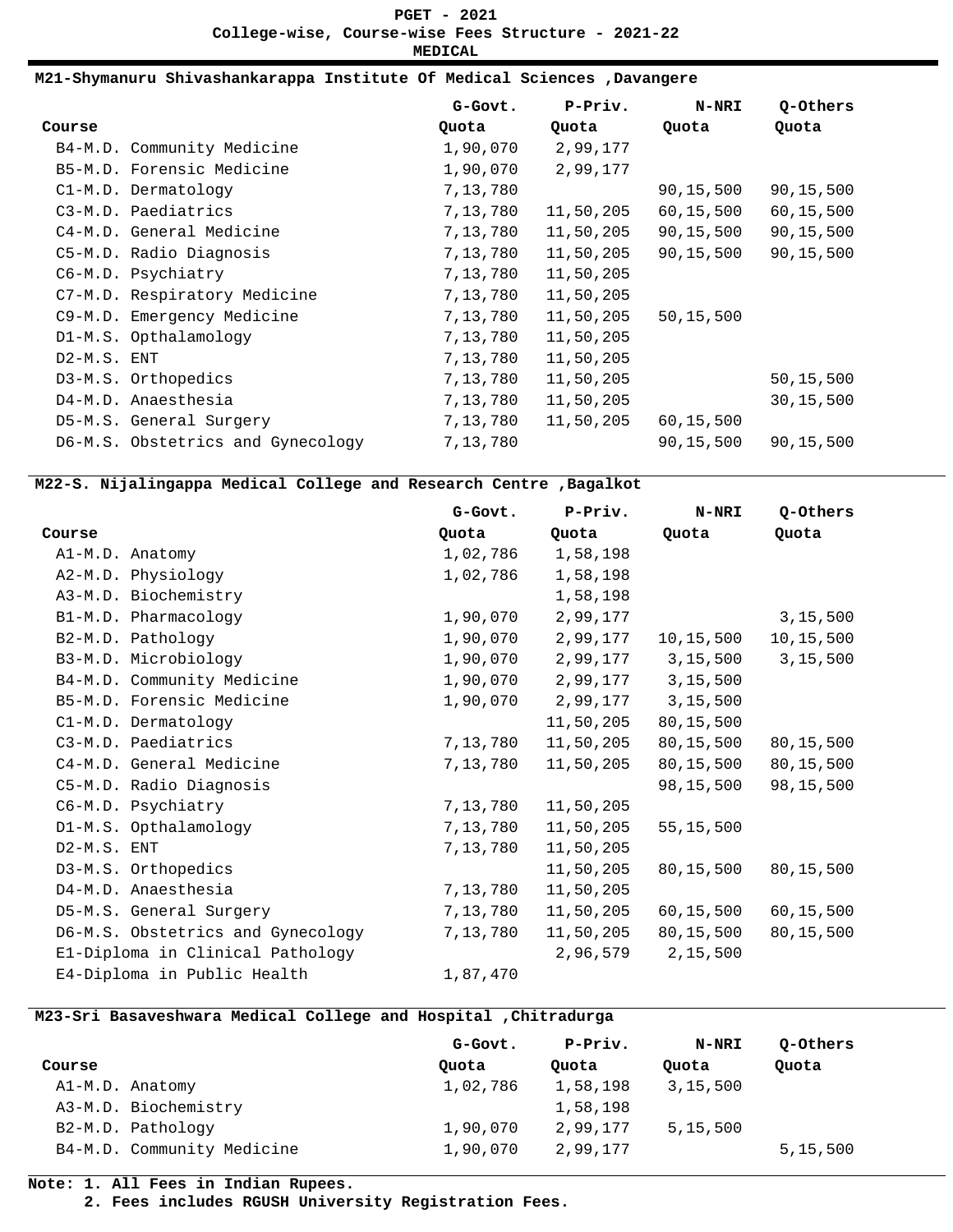|                                                    | <b>PGET - 2021</b> |  |  |  |  |  |
|----------------------------------------------------|--------------------|--|--|--|--|--|
| College-wise, Course-wise Fees Structure - 2021-22 |                    |  |  |  |  |  |
| <b>MEDICAL</b>                                     |                    |  |  |  |  |  |

#### **M21-Shymanuru Shivashankarappa Institute Of Medical Sciences ,Davangere**

|             |                                   | G-Govt.  | P-Priv.   | N-NRI     | Q-Others    |
|-------------|-----------------------------------|----------|-----------|-----------|-------------|
| Course      |                                   | Quota    | Quota     | Quota     | Quota       |
|             | B4-M.D. Community Medicine        | 1,90,070 | 2,99,177  |           |             |
|             | B5-M.D. Forensic Medicine         | 1,90,070 | 2,99,177  |           |             |
|             | C1-M.D. Dermatology               | 7,13,780 |           | 90,15,500 | 90,15,500   |
|             | C3-M.D. Paediatrics               | 7,13,780 | 11,50,205 | 60,15,500 | 60, 15, 500 |
|             | C4-M.D. General Medicine          | 7,13,780 | 11,50,205 | 90,15,500 | 90,15,500   |
|             | C5-M.D. Radio Diagnosis           | 7,13,780 | 11,50,205 | 90,15,500 | 90,15,500   |
|             | C6-M.D. Psychiatry                | 7,13,780 | 11,50,205 |           |             |
|             | C7-M.D. Respiratory Medicine      | 7,13,780 | 11,50,205 |           |             |
|             | C9-M.D. Emergency Medicine        | 7,13,780 | 11,50,205 | 50,15,500 |             |
|             | D1-M.S. Opthalamology             | 7,13,780 | 11,50,205 |           |             |
| D2-M.S. ENT |                                   | 7,13,780 | 11,50,205 |           |             |
|             | D3-M.S. Orthopedics               | 7,13,780 | 11,50,205 |           | 50,15,500   |
|             | D4-M.D. Anaesthesia               | 7,13,780 | 11,50,205 |           | 30, 15, 500 |
|             | D5-M.S. General Surgery           | 7,13,780 | 11,50,205 | 60,15,500 |             |
|             | D6-M.S. Obstetrics and Gynecology | 7,13,780 |           | 90,15,500 | 90,15,500   |
|             |                                   |          |           |           |             |

**M22-S. Nijalingappa Medical College and Research Centre ,Bagalkot**

|                                   | G-Govt.  | P-Priv.   | <b>N-NRI</b>      | Q-Others   |
|-----------------------------------|----------|-----------|-------------------|------------|
| Course                            | Quota    | Quota     | Quota             | Quota      |
| A1-M.D. Anatomy                   | 1,02,786 | 1,58,198  |                   |            |
| A2-M.D. Physiology                | 1,02,786 | 1,58,198  |                   |            |
| A3-M.D. Biochemistry              |          | 1,58,198  |                   |            |
| B1-M.D. Pharmacology              | 1,90,070 | 2,99,177  |                   | 3, 15, 500 |
| B2-M.D. Pathology                 | 1,90,070 | 2,99,177  | 10,15,500         | 10,15,500  |
| B3-M.D. Microbiology              | 1,90,070 |           | 2,99,177 3,15,500 | 3, 15, 500 |
| B4-M.D. Community Medicine        | 1,90,070 | 2,99,177  | 3,15,500          |            |
| B5-M.D. Forensic Medicine         | 1,90,070 | 2,99,177  | 3, 15, 500        |            |
| C1-M.D. Dermatology               |          | 11,50,205 | 80, 15, 500       |            |
| C3-M.D. Paediatrics               | 7,13,780 | 11,50,205 | 80, 15, 500       | 80,15,500  |
| C4-M.D. General Medicine          | 7,13,780 | 11,50,205 | 80, 15, 500       | 80,15,500  |
| C5-M.D. Radio Diagnosis           |          |           | 98,15,500         | 98,15,500  |
| C6-M.D. Psychiatry                | 7,13,780 | 11,50,205 |                   |            |
| D1-M.S. Opthalamology             | 7,13,780 | 11,50,205 | 55, 15, 500       |            |
| D2-M.S. ENT                       | 7,13,780 | 11,50,205 |                   |            |
| D3-M.S. Orthopedics               |          | 11,50,205 | 80,15,500         | 80,15,500  |
| D4-M.D. Anaesthesia               | 7,13,780 | 11,50,205 |                   |            |
| D5-M.S. General Surgery           | 7,13,780 | 11,50,205 | 60,15,500         | 60,15,500  |
| D6-M.S. Obstetrics and Gynecology | 7,13,780 | 11,50,205 | 80, 15, 500       | 80,15,500  |
| El-Diploma in Clinical Pathology  |          | 2,96,579  | 2,15,500          |            |
| E4-Diploma in Public Health       | 1,87,470 |           |                   |            |

### **M23-Sri Basaveshwara Medical College and Hospital ,Chitradurga**

|                            | G-Govt.  | P-Priv.  | <b>N-NRI</b> | Q-Others   |
|----------------------------|----------|----------|--------------|------------|
| Course                     | Quota    | Quota    | Ouota        | Quota      |
| A1-M.D. Anatomy            | 1,02,786 | 1,58,198 | 3,15,500     |            |
| A3-M.D. Biochemistry       |          | 1,58,198 |              |            |
| B2-M.D. Pathology          | 1,90,070 | 2,99,177 | 5, 15, 500   |            |
| B4-M.D. Community Medicine | 1,90,070 | 2,99,177 |              | 5, 15, 500 |

**Note: 1. All Fees in Indian Rupees.**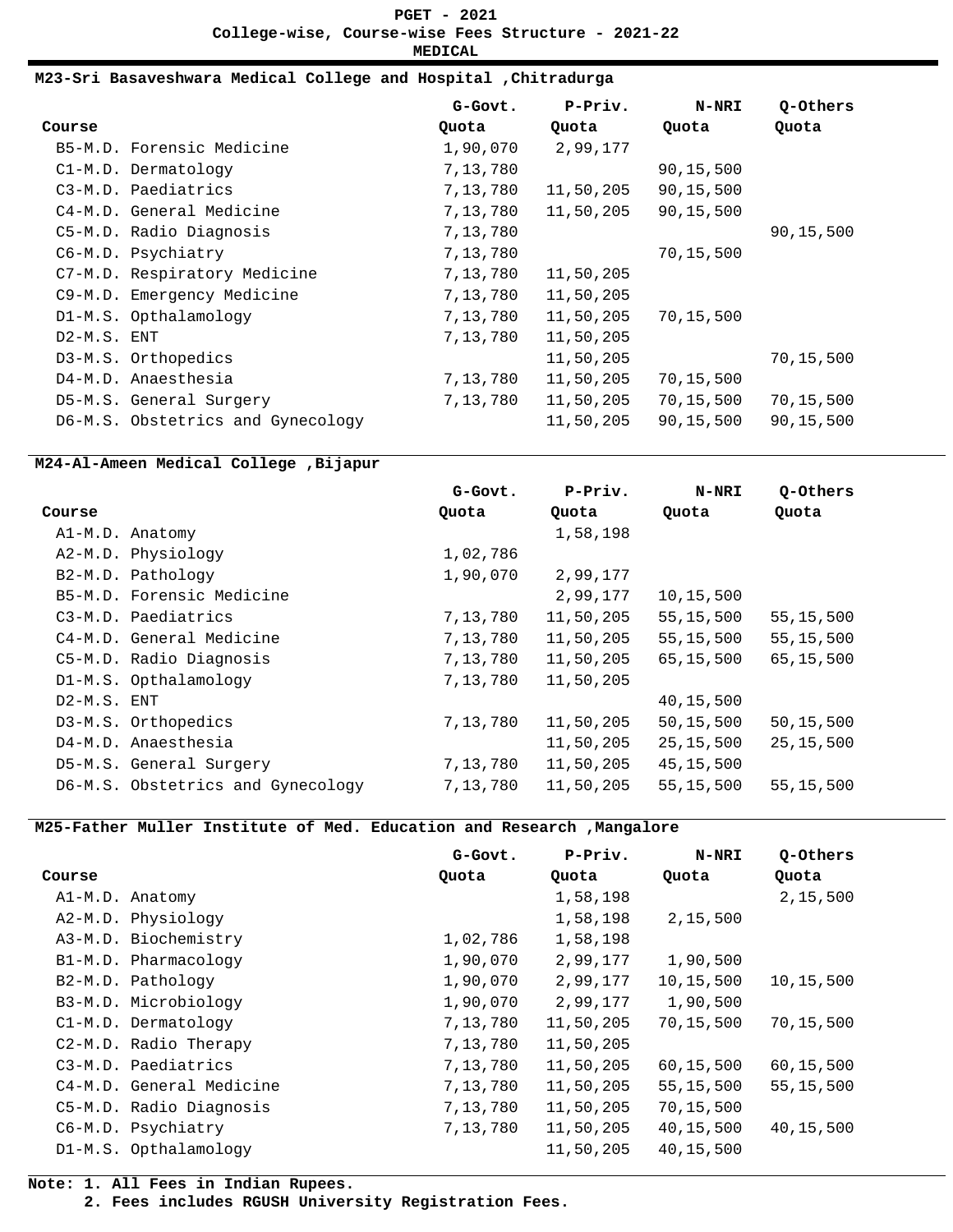#### **M23-Sri Basaveshwara Medical College and Hospital ,Chitradurga**

|             |                                   | G-Govt.  | P-Priv.   | N-NRI     | Q-Others  |
|-------------|-----------------------------------|----------|-----------|-----------|-----------|
| Course      |                                   | Quota    | Quota     | Quota     | Quota     |
|             | B5-M.D. Forensic Medicine         | 1,90,070 | 2,99,177  |           |           |
|             | C1-M.D. Dermatology               | 7,13,780 |           | 90,15,500 |           |
|             | C3-M.D. Paediatrics               | 7,13,780 | 11,50,205 | 90,15,500 |           |
|             | C4-M.D. General Medicine          | 7,13,780 | 11,50,205 | 90,15,500 |           |
|             | C5-M.D. Radio Diagnosis           | 7,13,780 |           |           | 90,15,500 |
|             | C6-M.D. Psychiatry                | 7,13,780 |           | 70,15,500 |           |
|             | C7-M.D. Respiratory Medicine      | 7,13,780 | 11,50,205 |           |           |
|             | C9-M.D. Emergency Medicine        | 7,13,780 | 11,50,205 |           |           |
|             | D1-M.S. Opthalamology             | 7,13,780 | 11,50,205 | 70,15,500 |           |
| D2-M.S. ENT |                                   | 7,13,780 | 11,50,205 |           |           |
|             | D3-M.S. Orthopedics               |          | 11,50,205 |           | 70,15,500 |
|             | D4-M.D. Anaesthesia               | 7,13,780 | 11,50,205 | 70,15,500 |           |
|             | D5-M.S. General Surgery           | 7,13,780 | 11,50,205 | 70,15,500 | 70,15,500 |
|             | D6-M.S. Obstetrics and Gynecology |          | 11,50,205 | 90,15,500 | 90,15,500 |

### **M24-Al-Ameen Medical College ,Bijapur**

|                 |                                   | G-Govt.  | P-Priv.   | N-NRI       | Q-Others    |
|-----------------|-----------------------------------|----------|-----------|-------------|-------------|
| Course          |                                   | Quota    | Quota     | Quota       | Quota       |
| A1-M.D. Anatomy |                                   |          | 1,58,198  |             |             |
|                 | A2-M.D. Physiology                | 1,02,786 |           |             |             |
|                 | B2-M.D. Pathology                 | 1,90,070 | 2,99,177  |             |             |
|                 | B5-M.D. Forensic Medicine         |          | 2,99,177  | 10,15,500   |             |
|                 | C3-M.D. Paediatrics               | 7,13,780 | 11,50,205 | 55,15,500   | 55, 15, 500 |
|                 | C4-M.D. General Medicine          | 7,13,780 | 11,50,205 | 55,15,500   | 55, 15, 500 |
|                 | C5-M.D. Radio Diagnosis           | 7,13,780 | 11,50,205 | 65,15,500   | 65, 15, 500 |
|                 | D1-M.S. Opthalamology             | 7,13,780 | 11,50,205 |             |             |
| D2-M.S. ENT     |                                   |          |           | 40,15,500   |             |
|                 | D3-M.S. Orthopedics               | 7,13,780 | 11,50,205 | 50,15,500   | 50,15,500   |
|                 | D4-M.D. Anaesthesia               |          | 11,50,205 | 25, 15, 500 | 25, 15, 500 |
|                 | D5-M.S. General Surgery           | 7,13,780 | 11,50,205 | 45, 15, 500 |             |
|                 | D6-M.S. Obstetrics and Gynecology | 7,13,780 | 11,50,205 | 55,15,500   | 55, 15, 500 |

**M25-Father Muller Institute of Med. Education and Research ,Mangalore**

|        |                          | G-Govt.  | P-Priv.   | N-NRI     | Q-Others    |
|--------|--------------------------|----------|-----------|-----------|-------------|
| Course |                          | Quota    | Quota     | Quota     | Quota       |
|        | A1-M.D. Anatomy          |          | 1,58,198  |           | 2,15,500    |
|        | A2-M.D. Physiology       |          | 1,58,198  | 2,15,500  |             |
|        | A3-M.D. Biochemistry     | 1,02,786 | 1,58,198  |           |             |
|        | B1-M.D. Pharmacology     | 1,90,070 | 2,99,177  | 1,90,500  |             |
|        | B2-M.D. Pathology        | 1,90,070 | 2,99,177  | 10,15,500 | 10,15,500   |
|        | B3-M.D. Microbiology     | 1,90,070 | 2,99,177  | 1,90,500  |             |
|        | C1-M.D. Dermatology      | 7,13,780 | 11,50,205 | 70,15,500 | 70,15,500   |
|        | C2-M.D. Radio Therapy    | 7,13,780 | 11,50,205 |           |             |
|        | C3-M.D. Paediatrics      | 7,13,780 | 11,50,205 | 60,15,500 | 60, 15, 500 |
|        | C4-M.D. General Medicine | 7,13,780 | 11,50,205 | 55,15,500 | 55, 15, 500 |
|        | C5-M.D. Radio Diagnosis  | 7,13,780 | 11,50,205 | 70,15,500 |             |
|        | C6-M.D. Psychiatry       | 7,13,780 | 11,50,205 | 40,15,500 | 40,15,500   |
|        | D1-M.S. Opthalamology    |          | 11,50,205 | 40,15,500 |             |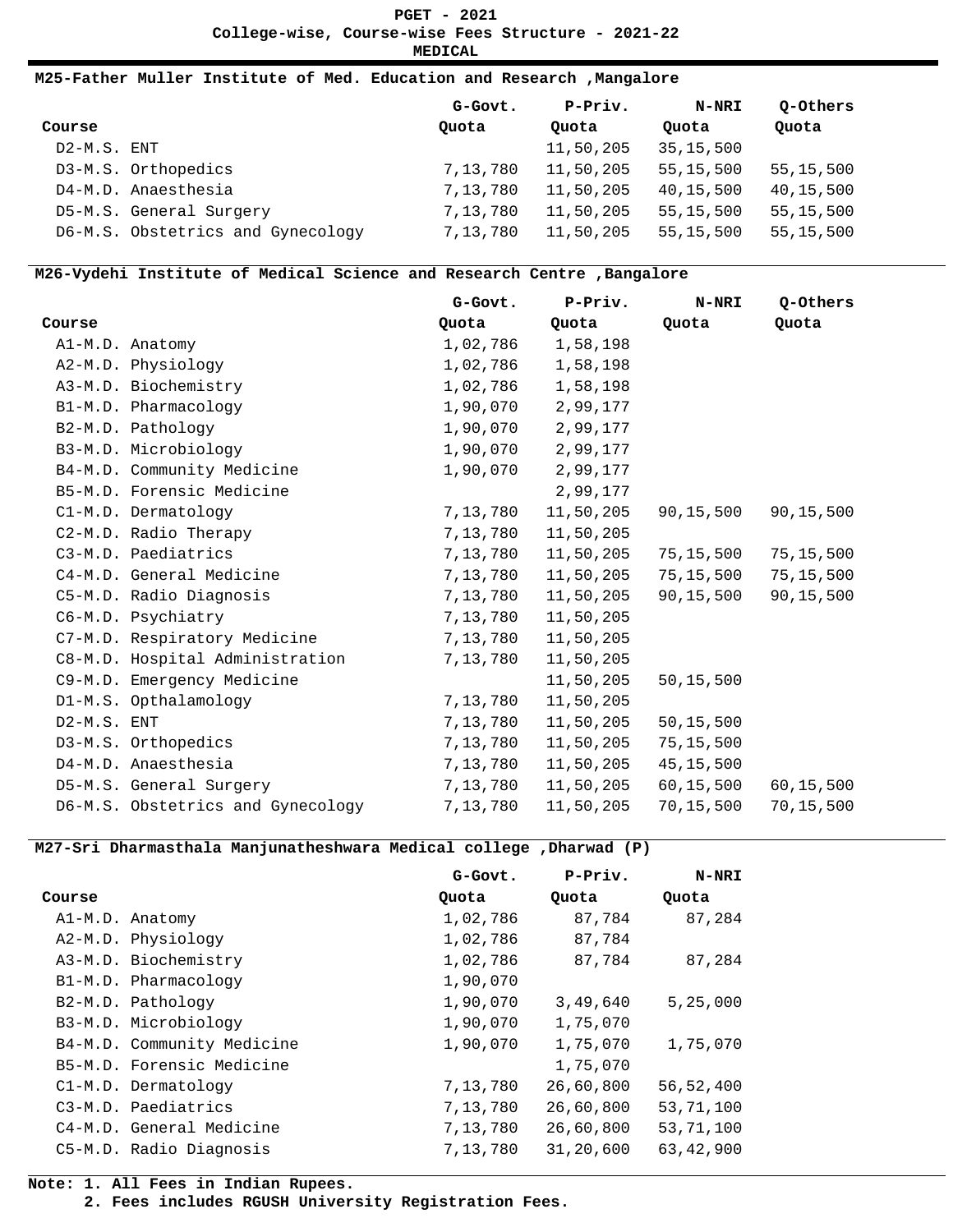#### **M25-Father Muller Institute of Med. Education and Research ,Mangalore**

|               |                                   | G-Govt.  | P-Priv.   | N-NRI       | Q-Others    |
|---------------|-----------------------------------|----------|-----------|-------------|-------------|
| Course        |                                   | Quota    | Quota     | Quota       | Quota       |
| $D2-M.S. ENT$ |                                   |          | 11,50,205 | 35, 15, 500 |             |
|               | D3-M.S. Orthopedics               | 7,13,780 | 11,50,205 | 55,15,500   | 55, 15, 500 |
|               | D4-M.D. Anaesthesia               | 7,13,780 | 11,50,205 | 40,15,500   | 40,15,500   |
|               | D5-M.S. General Surgery           | 7,13,780 | 11,50,205 | 55,15,500   | 55, 15, 500 |
|               | D6-M.S. Obstetrics and Gynecology | 7,13,780 | 11,50,205 | 55.15.500   | 55,15,500   |

### **M26-Vydehi Institute of Medical Science and Research Centre ,Bangalore**

|             |                                   | G-Govt.  | P-Priv.                            | <b>N-NRI</b> | Q-Others  |
|-------------|-----------------------------------|----------|------------------------------------|--------------|-----------|
| Course      |                                   | Quota    | Quota                              | Quota        | Quota     |
|             | A1-M.D. Anatomy                   | 1,02,786 | 1,58,198                           |              |           |
|             | A2-M.D. Physiology                | 1,02,786 | 1,58,198                           |              |           |
|             | A3-M.D. Biochemistry              | 1,02,786 | 1,58,198                           |              |           |
|             | B1-M.D. Pharmacology              | 1,90,070 | 2,99,177                           |              |           |
|             | B2-M.D. Pathology                 | 1,90,070 | 2,99,177                           |              |           |
|             | B3-M.D. Microbiology              | 1,90,070 | 2,99,177                           |              |           |
|             | B4-M.D. Community Medicine        | 1,90,070 | 2,99,177                           |              |           |
|             | B5-M.D. Forensic Medicine         |          | 2,99,177                           |              |           |
|             | C1-M.D. Dermatology               | 7,13,780 | 11,50,205                          | 90,15,500    | 90,15,500 |
|             | C2-M.D. Radio Therapy             | 7,13,780 | 11,50,205                          |              |           |
|             | C3-M.D. Paediatrics               |          | 7, 13, 780 11, 50, 205             | 75,15,500    | 75,15,500 |
|             | C4-M.D. General Medicine          |          | 7, 13, 780 11, 50, 205 75, 15, 500 |              | 75,15,500 |
|             | C5-M.D. Radio Diagnosis           |          | 7, 13, 780 11, 50, 205             | 90,15,500    | 90,15,500 |
|             | C6-M.D. Psychiatry                | 7,13,780 | 11,50,205                          |              |           |
|             | C7-M.D. Respiratory Medicine      | 7,13,780 | 11,50,205                          |              |           |
|             | C8-M.D. Hospital Administration   | 7,13,780 | 11,50,205                          |              |           |
|             | C9-M.D. Emergency Medicine        |          | 11,50,205                          | 50, 15, 500  |           |
|             | D1-M.S. Opthalamology             | 7,13,780 | 11,50,205                          |              |           |
| D2-M.S. ENT |                                   | 7,13,780 | 11,50,205                          | 50,15,500    |           |
|             | D3-M.S. Orthopedics               | 7,13,780 | 11,50,205                          | 75,15,500    |           |
|             | D4-M.D. Anaesthesia               |          | 7, 13, 780 11, 50, 205 45, 15, 500 |              |           |
|             | D5-M.S. General Surgery           | 7,13,780 | 11,50,205                          | 60,15,500    | 60,15,500 |
|             | D6-M.S. Obstetrics and Gynecology | 7,13,780 | 11,50,205                          | 70,15,500    | 70,15,500 |

### **M27-Sri Dharmasthala Manjunatheshwara Medical college ,Dharwad (P)**

|        |                            | G-Govt.  | P-Priv.     | N-NRI     |
|--------|----------------------------|----------|-------------|-----------|
| Course |                            | Quota    | Quota       | Quota     |
|        | A1-M.D. Anatomy            | 1,02,786 | 87,784      | 87,284    |
|        | A2-M.D. Physiology         | 1,02,786 | 87,784      |           |
|        | A3-M.D. Biochemistry       | 1,02,786 | 87,784      | 87,284    |
|        | B1-M.D. Pharmacology       | 1,90,070 |             |           |
|        | B2-M.D. Pathology          | 1,90,070 | 3,49,640    | 5,25,000  |
|        | B3-M.D. Microbiology       | 1,90,070 | 1,75,070    |           |
|        | B4-M.D. Community Medicine | 1,90,070 | 1,75,070    | 1,75,070  |
|        | B5-M.D. Forensic Medicine  |          | 1,75,070    |           |
|        | C1-M.D. Dermatology        | 7,13,780 | 26,60,800   | 56,52,400 |
|        | C3-M.D. Paediatrics        | 7,13,780 | 26,60,800   | 53,71,100 |
|        | C4-M.D. General Medicine   | 7,13,780 | 26,60,800   | 53,71,100 |
|        | C5-M.D. Radio Diagnosis    | 7,13,780 | 31, 20, 600 | 63,42,900 |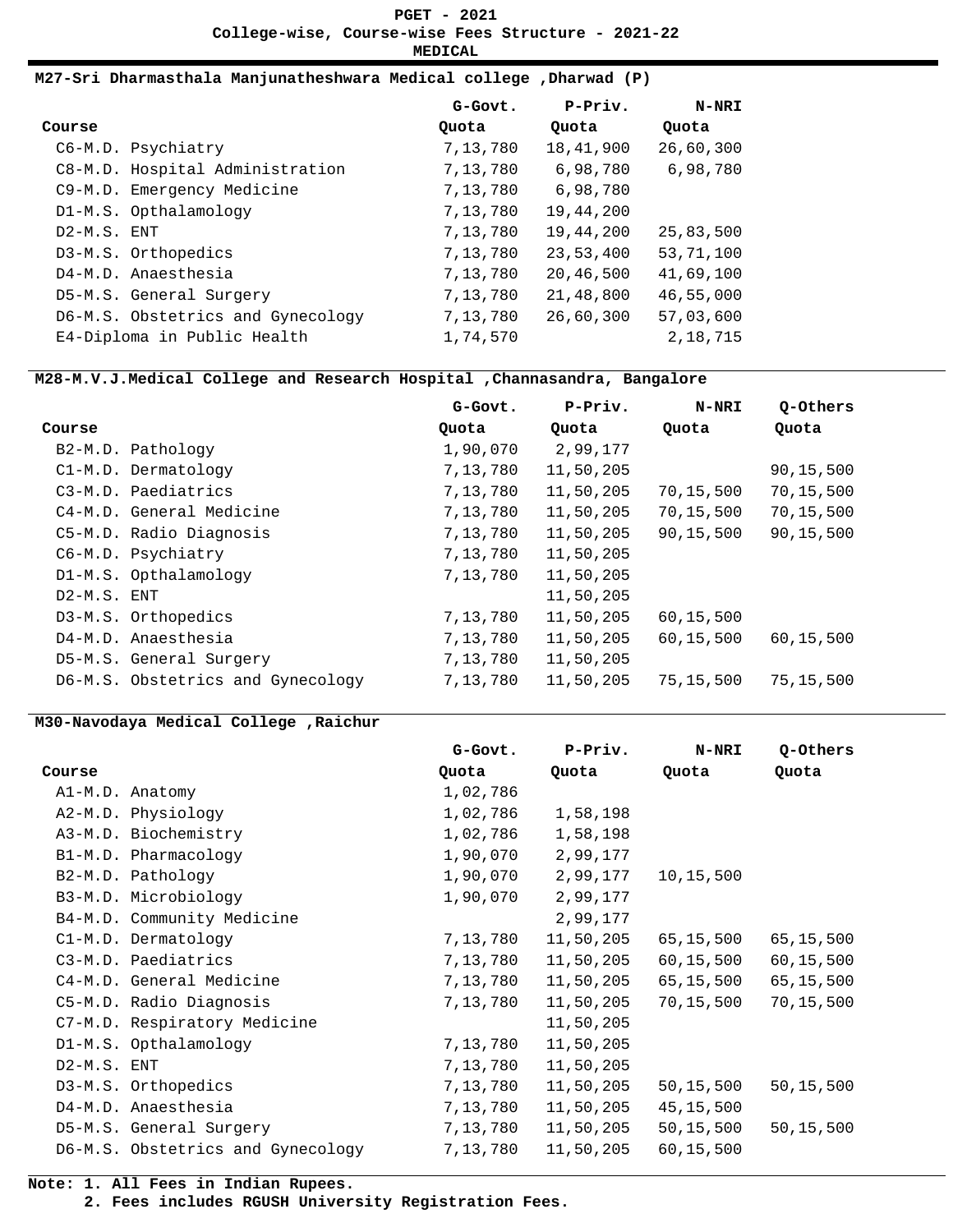|                                                    | <b>PGET - 2021</b> |  |  |  |  |  |
|----------------------------------------------------|--------------------|--|--|--|--|--|
| College-wise, Course-wise Fees Structure - 2021-22 |                    |  |  |  |  |  |
| <b>MEDICAL</b>                                     |                    |  |  |  |  |  |

### **M27-Sri Dharmasthala Manjunatheshwara Medical college ,Dharwad (P)**

|                                   | G-Govt.  | P-Priv.   | N-NRI      |
|-----------------------------------|----------|-----------|------------|
| Course                            | Quota    | Quota     | Quota      |
| C6-M.D. Psychiatry                | 7,13,780 | 18,41,900 | 26,60,300  |
| C8-M.D. Hospital Administration   | 7,13,780 | 6,98,780  | 6,98,780   |
| C9-M.D. Emergency Medicine        | 7,13,780 | 6,98,780  |            |
| D1-M.S. Opthalamology             | 7,13,780 | 19,44,200 |            |
| D2-M.S. ENT                       | 7,13,780 | 19,44,200 | 25,83,500  |
| D3-M.S. Orthopedics               | 7,13,780 | 23,53,400 | 53,71,100  |
| D4-M.D. Anaesthesia               | 7,13,780 | 20,46,500 | 41,69,100  |
| D5-M.S. General Surgery           | 7,13,780 | 21,48,800 | 46,55,000  |
| D6-M.S. Obstetrics and Gynecology | 7,13,780 | 26,60,300 | 57,03,600  |
| E4-Diploma in Public Health       | 1,74,570 |           | 2, 18, 715 |
|                                   |          |           |            |

### **M28-M.V.J.Medical College and Research Hospital ,Channasandra, Bangalore**

|             |                                   | G-Govt.  | P-Priv.   | N-NRI       | Q-Others  |
|-------------|-----------------------------------|----------|-----------|-------------|-----------|
| Course      |                                   | Quota    | Quota     | Quota       | Quota     |
|             | B2-M.D. Pathology                 | 1,90,070 | 2,99,177  |             |           |
|             | C1-M.D. Dermatology               | 7,13,780 | 11,50,205 |             | 90,15,500 |
|             | C3-M.D. Paediatrics               | 7,13,780 | 11,50,205 | 70,15,500   | 70,15,500 |
|             | C4-M.D. General Medicine          | 7,13,780 | 11,50,205 | 70,15,500   | 70,15,500 |
|             | C5-M.D. Radio Diagnosis           | 7,13,780 | 11,50,205 | 90, 15, 500 | 90,15,500 |
|             | C6-M.D. Psychiatry                | 7,13,780 | 11,50,205 |             |           |
|             | D1-M.S. Opthalamology             | 7,13,780 | 11,50,205 |             |           |
| D2-M.S. ENT |                                   |          | 11,50,205 |             |           |
|             | D3-M.S. Orthopedics               | 7,13,780 | 11,50,205 | 60,15,500   |           |
|             | D4-M.D. Anaesthesia               | 7,13,780 | 11,50,205 | 60, 15, 500 | 60,15,500 |
|             | D5-M.S. General Surgery           | 7,13,780 | 11,50,205 |             |           |
|             | D6-M.S. Obstetrics and Gynecology | 7,13,780 | 11,50,205 | 75,15,500   | 75,15,500 |

### **M30-Navodaya Medical College ,Raichur**

|             |                                   | G-Govt.  | P-Priv.   | <b>N-NRI</b> | Q-Others    |
|-------------|-----------------------------------|----------|-----------|--------------|-------------|
| Course      |                                   | Quota    | Quota     | Quota        | Quota       |
|             | A1-M.D. Anatomy                   | 1,02,786 |           |              |             |
|             | A2-M.D. Physiology                | 1,02,786 | 1,58,198  |              |             |
|             | A3-M.D. Biochemistry              | 1,02,786 | 1,58,198  |              |             |
|             | B1-M.D. Pharmacology              | 1,90,070 | 2,99,177  |              |             |
|             | B2-M.D. Pathology                 | 1,90,070 | 2,99,177  | 10,15,500    |             |
|             | B3-M.D. Microbiology              | 1,90,070 | 2,99,177  |              |             |
|             | B4-M.D. Community Medicine        |          | 2,99,177  |              |             |
|             | C1-M.D. Dermatology               | 7,13,780 | 11,50,205 | 65,15,500    | 65,15,500   |
|             | C3-M.D. Paediatrics               | 7,13,780 | 11,50,205 | 60,15,500    | 60, 15, 500 |
|             | C4-M.D. General Medicine          | 7,13,780 | 11,50,205 | 65,15,500    | 65,15,500   |
|             | C5-M.D. Radio Diagnosis           | 7,13,780 | 11,50,205 | 70,15,500    | 70,15,500   |
|             | C7-M.D. Respiratory Medicine      |          | 11,50,205 |              |             |
|             | D1-M.S. Opthalamology             | 7,13,780 | 11,50,205 |              |             |
| D2-M.S. ENT |                                   | 7,13,780 | 11,50,205 |              |             |
|             | D3-M.S. Orthopedics               | 7,13,780 | 11,50,205 | 50,15,500    | 50, 15, 500 |
|             | D4-M.D. Anaesthesia               | 7,13,780 | 11,50,205 | 45, 15, 500  |             |
|             | D5-M.S. General Surgery           | 7,13,780 | 11,50,205 | 50, 15, 500  | 50,15,500   |
|             | D6-M.S. Obstetrics and Gynecology | 7,13,780 | 11,50,205 | 60,15,500    |             |

**Note: 1. All Fees in Indian Rupees. 2. Fees includes RGUSH University Registration Fees.**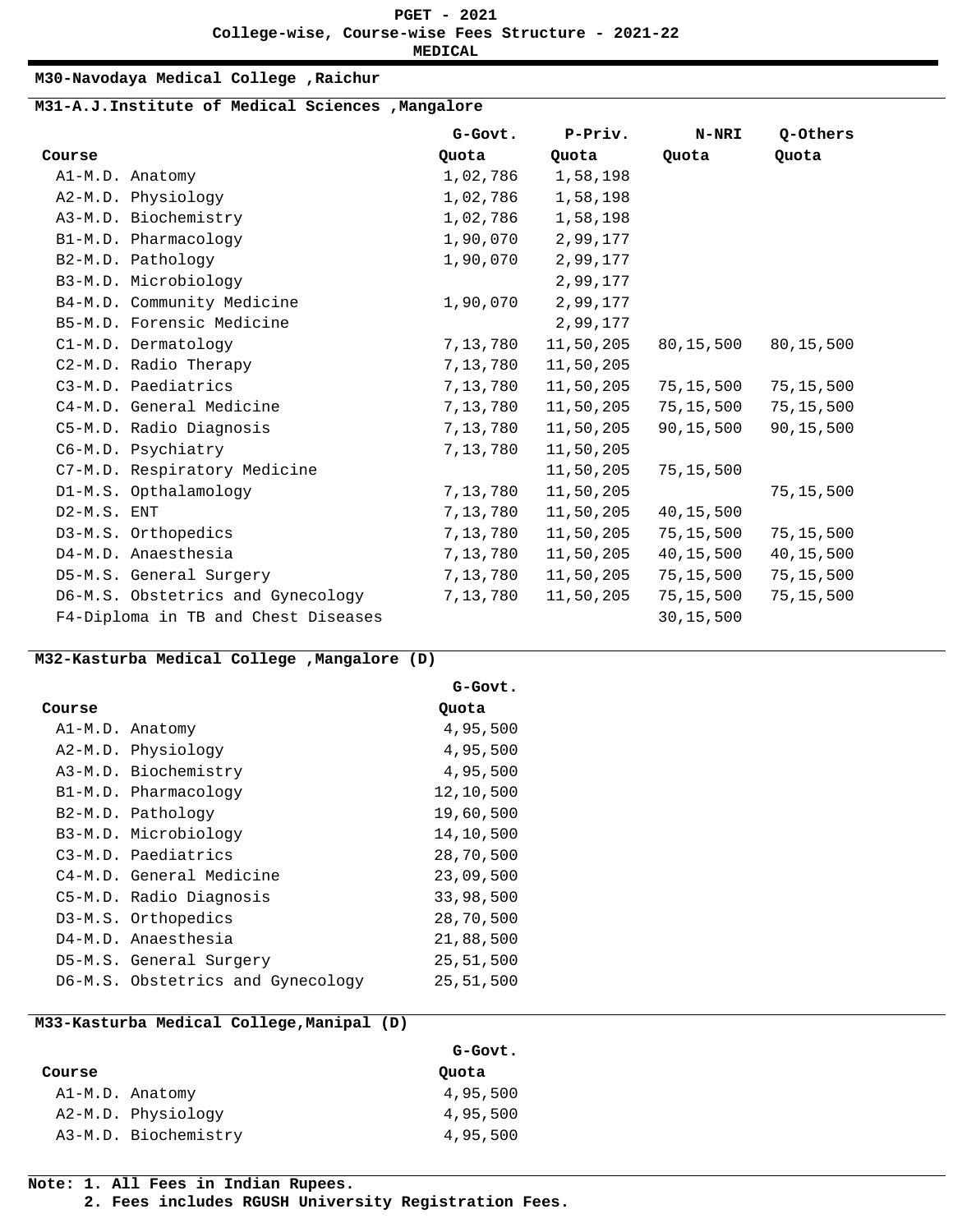**MEDICAL**

#### **M30-Navodaya Medical College ,Raichur**

### **M31-A.J.Institute of Medical Sciences ,Mangalore**

|             |                                     | G-Govt.  | P-Priv.   | <b>N-NRI</b> | Q-Others    |
|-------------|-------------------------------------|----------|-----------|--------------|-------------|
| Course      |                                     | Quota    | Quota     | Quota        | Quota       |
|             | A1-M.D. Anatomy                     | 1,02,786 | 1,58,198  |              |             |
|             | A2-M.D. Physiology                  | 1,02,786 | 1,58,198  |              |             |
|             | A3-M.D. Biochemistry                | 1,02,786 | 1,58,198  |              |             |
|             | B1-M.D. Pharmacology                | 1,90,070 | 2,99,177  |              |             |
|             | B2-M.D. Pathology                   | 1,90,070 | 2,99,177  |              |             |
|             | B3-M.D. Microbiology                |          | 2,99,177  |              |             |
|             | B4-M.D. Community Medicine          | 1,90,070 | 2,99,177  |              |             |
|             | B5-M.D. Forensic Medicine           |          | 2,99,177  |              |             |
|             | C1-M.D. Dermatology                 | 7,13,780 | 11,50,205 | 80,15,500    | 80, 15, 500 |
|             | C2-M.D. Radio Therapy               | 7,13,780 | 11,50,205 |              |             |
|             | C3-M.D. Paediatrics                 | 7,13,780 | 11,50,205 | 75,15,500    | 75,15,500   |
|             | C4-M.D. General Medicine            | 7,13,780 | 11,50,205 | 75,15,500    | 75, 15, 500 |
|             | C5-M.D. Radio Diagnosis             | 7,13,780 | 11,50,205 | 90,15,500    | 90,15,500   |
|             | C6-M.D. Psychiatry                  | 7,13,780 | 11,50,205 |              |             |
|             | C7-M.D. Respiratory Medicine        |          | 11,50,205 | 75,15,500    |             |
|             | D1-M.S. Opthalamology               | 7,13,780 | 11,50,205 |              | 75,15,500   |
| D2-M.S. ENT |                                     | 7,13,780 | 11,50,205 | 40,15,500    |             |
|             | D3-M.S. Orthopedics                 | 7,13,780 | 11,50,205 | 75,15,500    | 75,15,500   |
|             | D4-M.D. Anaesthesia                 | 7,13,780 | 11,50,205 | 40,15,500    | 40, 15, 500 |
|             | D5-M.S. General Surgery             | 7,13,780 | 11,50,205 | 75,15,500    | 75,15,500   |
|             | D6-M.S. Obstetrics and Gynecology   | 7,13,780 | 11,50,205 | 75,15,500    | 75,15,500   |
|             | F4-Diploma in TB and Chest Diseases |          |           | 30, 15, 500  |             |

### **M32-Kasturba Medical College ,Mangalore (D)**

|        |                                   | G-Govt.   |
|--------|-----------------------------------|-----------|
| Course |                                   | Quota     |
|        | Al-M.D. Anatomy                   | 4,95,500  |
|        | A2-M.D. Physiology                | 4,95,500  |
|        | A3-M.D. Biochemistry              | 4,95,500  |
|        | B1-M.D. Pharmacology              | 12,10,500 |
|        | B2-M.D. Pathology                 | 19,60,500 |
|        | B3-M.D. Microbiology              | 14,10,500 |
|        | C3-M.D. Paediatrics               | 28,70,500 |
|        | C4-M.D. General Medicine          | 23,09,500 |
|        | C5-M.D. Radio Diagnosis           | 33,98,500 |
|        | D3-M.S. Orthopedics               | 28,70,500 |
|        | D4-M.D. Anaesthesia               | 21,88,500 |
|        | D5-M.S. General Surgery           | 25,51,500 |
|        | D6-M.S. Obstetrics and Gynecology | 25,51,500 |

#### **M33-Kasturba Medical College,Manipal (D)**

|        |                      | G-Govt.  |
|--------|----------------------|----------|
| Course |                      | Quota    |
|        | A1-M.D. Anatomy      | 4,95,500 |
|        | A2-M.D. Physiology   | 4,95,500 |
|        | A3-M.D. Biochemistry | 4,95,500 |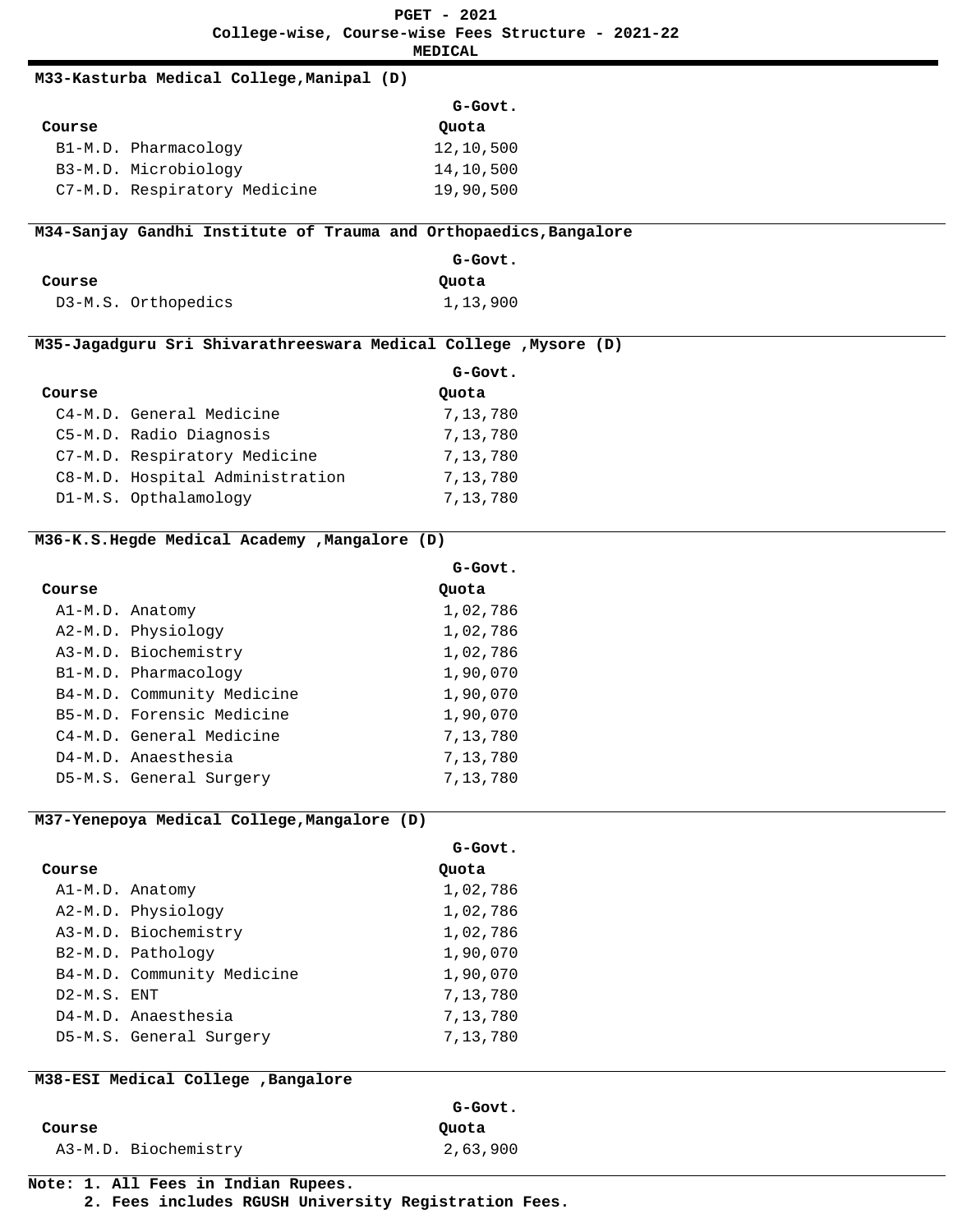#### **M33-Kasturba Medical College,Manipal (D)**

|        |                              | G-Govt.   |
|--------|------------------------------|-----------|
| Course |                              | Quota     |
|        | B1-M.D. Pharmacology         | 12,10,500 |
|        | B3-M.D. Microbiology         | 14,10,500 |
|        | C7-M.D. Respiratory Medicine | 19,90,500 |
|        |                              |           |

### **M34-Sanjay Gandhi Institute of Trauma and Orthopaedics,Bangalore**

|                     | G-Govt.  |
|---------------------|----------|
| Course              | Quota    |
| D3-M.S. Orthopedics | 1,13,900 |

# **M35-Jagadguru Sri Shivarathreeswara Medical College ,Mysore (D)**

|        |                                 | G-Govt.  |
|--------|---------------------------------|----------|
| Course |                                 | Quota    |
|        | C4-M.D. General Medicine        | 7,13,780 |
|        | C5-M.D. Radio Diagnosis         | 7,13,780 |
|        | C7-M.D. Respiratory Medicine    | 7,13,780 |
|        | C8-M.D. Hospital Administration | 7,13,780 |
|        | D1-M.S. Opthalamology           | 7,13,780 |

# **M36-K.S.Hegde Medical Academy ,Mangalore (D)**

|        |                            | G-Govt.  |
|--------|----------------------------|----------|
| Course |                            | Quota    |
|        | A1-M.D. Anatomy            | 1,02,786 |
|        | A2-M.D. Physiology         | 1,02,786 |
|        | A3-M.D. Biochemistry       | 1,02,786 |
|        | B1-M.D. Pharmacology       | 1,90,070 |
|        | B4-M.D. Community Medicine | 1,90,070 |
|        | B5-M.D. Forensic Medicine  | 1,90,070 |
|        | C4-M.D. General Medicine   | 7,13,780 |
|        | D4-M.D. Anaesthesia        | 7,13,780 |
|        | D5-M.S. General Surgery    | 7,13,780 |
|        |                            |          |

# **M37-Yenepoya Medical College,Mangalore (D)**

|                          |                            | $G-Govt$ . |
|--------------------------|----------------------------|------------|
| Course                   |                            | Quota      |
|                          | Al-M.D. Anatomy            | 1,02,786   |
|                          | A2-M.D. Physiology         | 1,02,786   |
|                          | A3-M.D. Biochemistry       | 1,02,786   |
|                          | B2-M.D. Pathology          | 1,90,070   |
|                          | B4-M.D. Community Medicine | 1,90,070   |
| D <sub>2</sub> -M.S. FNT |                            | 7,13,780   |
|                          | D4-M.D. Anaesthesia        | 7,13,780   |
|                          | D5-M.S. General Surgery    | 7,13,780   |

# **M38-ESI Medical College ,Bangalore**

|                      | G-Govt.  |
|----------------------|----------|
| Course               | Quota    |
| A3-M.D. Biochemistry | 2,63,900 |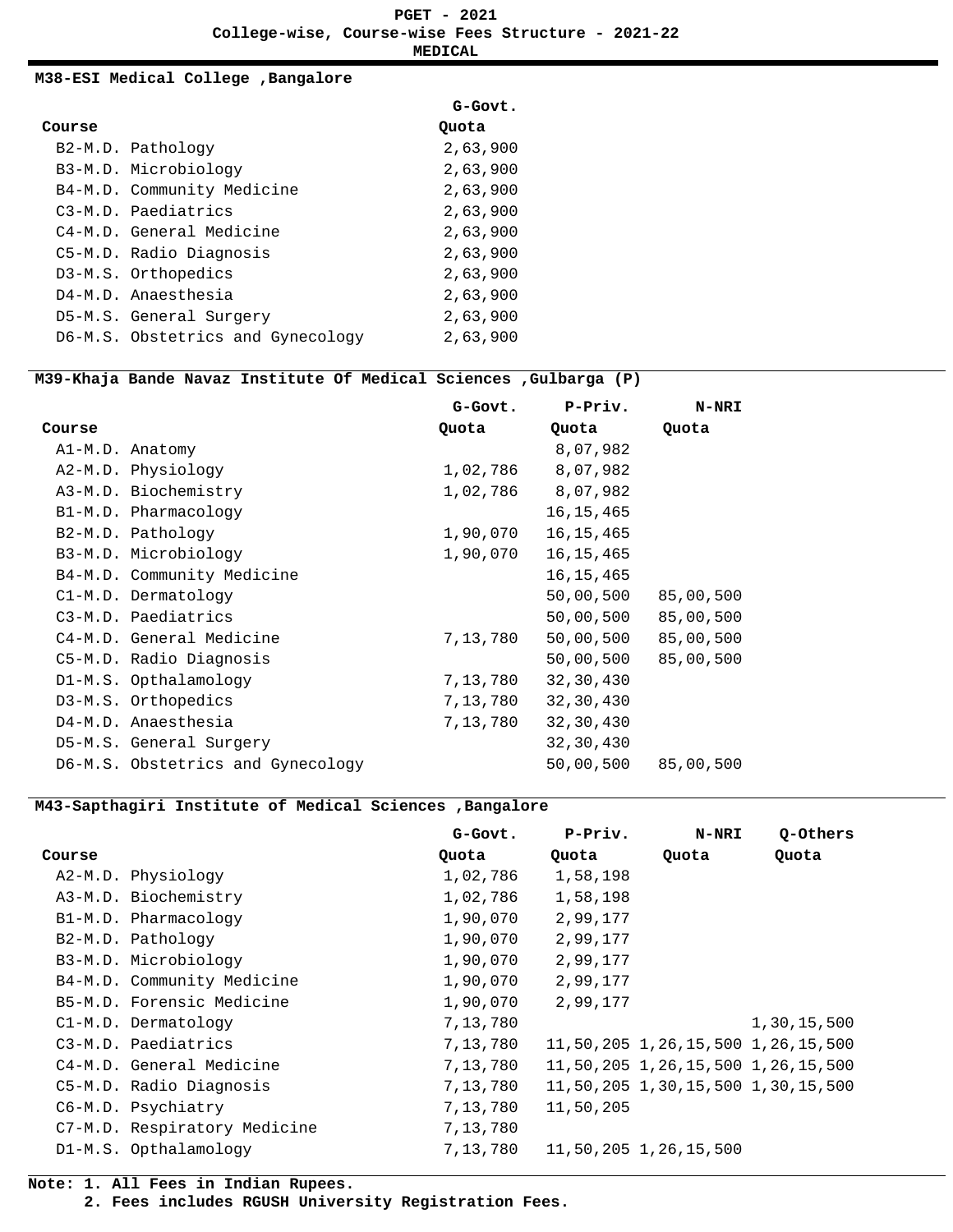#### **M38-ESI Medical College ,Bangalore**

|        |                                   | G-Govt.  |
|--------|-----------------------------------|----------|
| Course |                                   | Quota    |
|        | B2-M.D. Pathology                 | 2.63.900 |
|        | B3-M.D. Microbiology              | 2,63,900 |
|        | B4-M.D. Community Medicine        | 2.63.900 |
|        | C3-M.D. Paediatrics               | 2,63,900 |
|        | C4-M.D. General Medicine          | 2.63.900 |
|        | C5-M.D. Radio Diagnosis           | 2.63.900 |
|        | D3-M.S. Orthopedics               | 2.63.900 |
|        | D4-M.D. Anaesthesia               | 2.63.900 |
|        | D5-M.S. General Surgery           | 2.63.900 |
|        | D6-M.S. Obstetrics and Gynecology | 2,63,900 |

### **M39-Khaja Bande Navaz Institute Of Medical Sciences ,Gulbarga (P)**

|        |                                   | G-Govt.  | P-Priv.             | N-NRI     |
|--------|-----------------------------------|----------|---------------------|-----------|
| Course |                                   | Quota    | Quota               | Quota     |
|        | A1-M.D. Anatomy                   |          | 8,07,982            |           |
|        | A2-M.D. Physiology                | 1,02,786 | 8,07,982            |           |
|        | A3-M.D. Biochemistry              |          | 1,02,786 8,07,982   |           |
|        | B1-M.D. Pharmacology              |          | 16, 15, 465         |           |
|        | B2-M.D. Pathology                 | 1,90,070 | 16, 15, 465         |           |
|        | B3-M.D. Microbiology              | 1,90,070 | 16,15,465           |           |
|        | B4-M.D. Community Medicine        |          | 16, 15, 465         |           |
|        | C1-M.D. Dermatology               |          | 50,00,500           | 85,00,500 |
|        | C3-M.D. Paediatrics               |          | 50,00,500           | 85,00,500 |
|        | C4-M.D. General Medicine          | 7,13,780 | 50,00,500           | 85,00,500 |
|        | C5-M.D. Radio Diagnosis           |          | 50,00,500           | 85,00,500 |
|        | D1-M.S. Opthalamology             | 7,13,780 | 32,30,430           |           |
|        | D3-M.S. Orthopedics               | 7,13,780 | 32,30,430           |           |
|        | D4-M.D. Anaesthesia               | 7,13,780 | 32,30,430           |           |
|        | D5-M.S. General Surgery           |          | 32,30,430           |           |
|        | D6-M.S. Obstetrics and Gynecology |          | 50,00,500 85,00,500 |           |

# **M43-Sapthagiri Institute of Medical Sciences ,Bangalore**

|        |                              | G-Govt.  | P-Priv.   | <b>N-NRI</b>                      | Q-Others    |
|--------|------------------------------|----------|-----------|-----------------------------------|-------------|
| Course |                              | Quota    | Quota     | Quota                             | Quota       |
|        | A2-M.D. Physiology           | 1,02,786 | 1,58,198  |                                   |             |
|        | A3-M.D. Biochemistry         | 1,02,786 | 1,58,198  |                                   |             |
|        | B1-M.D. Pharmacology         | 1,90,070 | 2,99,177  |                                   |             |
|        | B2-M.D. Pathology            | 1,90,070 | 2,99,177  |                                   |             |
|        | B3-M.D. Microbiology         | 1,90,070 | 2,99,177  |                                   |             |
|        | B4-M.D. Community Medicine   | 1,90,070 | 2,99,177  |                                   |             |
|        | B5-M.D. Forensic Medicine    | 1,90,070 | 2,99,177  |                                   |             |
|        | C1-M.D. Dermatology          | 7,13,780 |           |                                   | 1,30,15,500 |
|        | C3-M.D. Paediatrics          | 7,13,780 |           | 11,50,205 1,26,15,500 1,26,15,500 |             |
|        | C4-M.D. General Medicine     | 7,13,780 |           | 11,50,205 1,26,15,500 1,26,15,500 |             |
|        | C5-M.D. Radio Diagnosis      | 7,13,780 |           | 11,50,205 1,30,15,500 1,30,15,500 |             |
|        | C6-M.D. Psychiatry           | 7,13,780 | 11,50,205 |                                   |             |
|        | C7-M.D. Respiratory Medicine | 7,13,780 |           |                                   |             |
|        | D1-M.S. Opthalamology        | 7,13,780 |           | 11,50,205 1,26,15,500             |             |

**Note: 1. All Fees in Indian Rupees. 2. Fees includes RGUSH University Registration Fees.**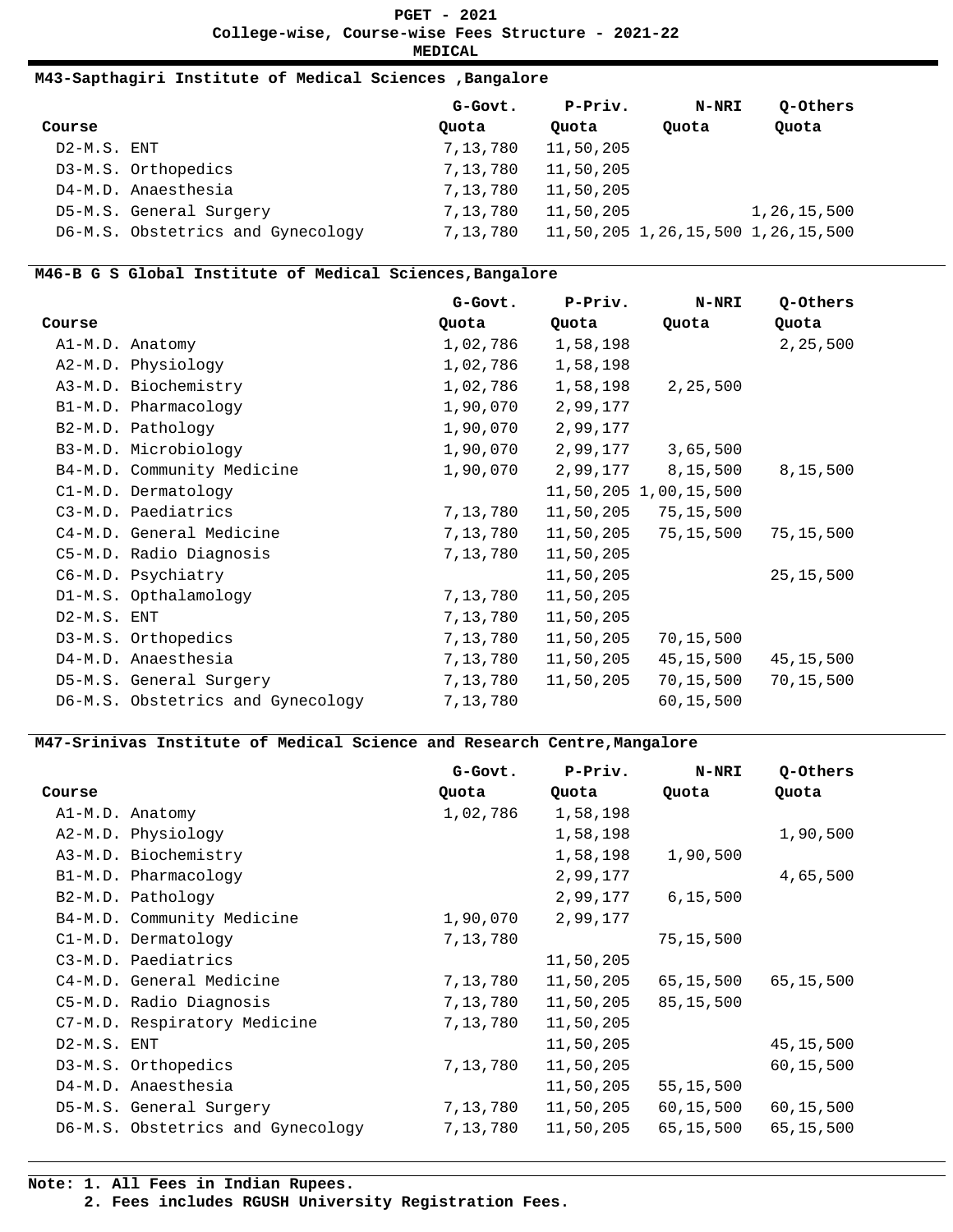#### **M43-Sapthagiri Institute of Medical Sciences ,Bangalore**

|                                   | G-Govt.  | P-Priv.   | <b>N-NRI</b>                      | Q-Others    |
|-----------------------------------|----------|-----------|-----------------------------------|-------------|
| Course                            | Quota    | Quota     | Ouota                             | Quota       |
| D2-M.S. ENT                       | 7,13,780 | 11,50,205 |                                   |             |
| D3-M.S. Orthopedics               | 7,13,780 | 11,50,205 |                                   |             |
| D4-M.D. Anaesthesia               | 7,13,780 | 11,50,205 |                                   |             |
| D5-M.S. General Surgery           | 7,13,780 | 11,50,205 |                                   | 1,26,15,500 |
| D6-M.S. Obstetrics and Gynecology | 7,13,780 |           | 11,50,205 1,26,15,500 1,26,15,500 |             |

### **M46-B G S Global Institute of Medical Sciences,Bangalore**

|             |                                   | G-Govt.  | P-Priv.   | <b>N-NRI</b>          | Q-Others    |
|-------------|-----------------------------------|----------|-----------|-----------------------|-------------|
| Course      |                                   | Quota    | Quota     | Quota                 | Quota       |
|             | A1-M.D. Anatomy                   | 1,02,786 | 1,58,198  |                       | 2,25,500    |
|             | A2-M.D. Physiology                | 1,02,786 | 1,58,198  |                       |             |
|             | A3-M.D. Biochemistry              | 1,02,786 | 1,58,198  | 2,25,500              |             |
|             | B1-M.D. Pharmacology              | 1,90,070 | 2,99,177  |                       |             |
|             | B2-M.D. Pathology                 | 1,90,070 | 2,99,177  |                       |             |
|             | B3-M.D. Microbiology              | 1,90,070 |           | 2,99,177 3,65,500     |             |
|             | B4-M.D. Community Medicine        | 1,90,070 |           | 2,99,177 8,15,500     | 8,15,500    |
|             | C1-M.D. Dermatology               |          |           | 11,50,205 1,00,15,500 |             |
|             | C3-M.D. Paediatrics               | 7,13,780 | 11,50,205 | 75,15,500             |             |
|             | C4-M.D. General Medicine          | 7,13,780 | 11,50,205 | 75,15,500             | 75,15,500   |
|             | C5-M.D. Radio Diagnosis           | 7,13,780 | 11,50,205 |                       |             |
|             | C6-M.D. Psychiatry                |          | 11,50,205 |                       | 25,15,500   |
|             | D1-M.S. Opthalamology             | 7,13,780 | 11,50,205 |                       |             |
| D2-M.S. ENT |                                   | 7,13,780 | 11,50,205 |                       |             |
|             | D3-M.S. Orthopedics               | 7,13,780 | 11,50,205 | 70,15,500             |             |
|             | D4-M.D. Anaesthesia               | 7,13,780 | 11,50,205 | 45,15,500             | 45, 15, 500 |
|             | D5-M.S. General Surgery           | 7,13,780 | 11,50,205 | 70,15,500             | 70,15,500   |
|             | D6-M.S. Obstetrics and Gynecology | 7,13,780 |           | 60, 15, 500           |             |

#### **M47-Srinivas Institute of Medical Science and Research Centre,Mangalore**

|             |                                   | G-Govt.  | P-Priv.   | <b>N-NRI</b> | Q-Others    |
|-------------|-----------------------------------|----------|-----------|--------------|-------------|
| Course      |                                   | Quota    | Quota     | Quota        | Quota       |
|             | A1-M.D. Anatomy                   | 1,02,786 | 1,58,198  |              |             |
|             | A2-M.D. Physiology                |          | 1,58,198  |              | 1,90,500    |
|             | A3-M.D. Biochemistry              |          | 1,58,198  | 1,90,500     |             |
|             | B1-M.D. Pharmacology              |          | 2,99,177  |              | 4,65,500    |
|             | B2-M.D. Pathology                 |          | 2,99,177  | 6, 15, 500   |             |
|             | B4-M.D. Community Medicine        | 1,90,070 | 2,99,177  |              |             |
|             | C1-M.D. Dermatology               | 7,13,780 |           | 75,15,500    |             |
|             | C3-M.D. Paediatrics               |          | 11,50,205 |              |             |
|             | C4-M.D. General Medicine          | 7,13,780 | 11,50,205 | 65,15,500    | 65,15,500   |
|             | C5-M.D. Radio Diagnosis           | 7,13,780 | 11,50,205 | 85,15,500    |             |
|             | C7-M.D. Respiratory Medicine      | 7,13,780 | 11,50,205 |              |             |
| D2-M.S. ENT |                                   |          | 11,50,205 |              | 45, 15, 500 |
|             | D3-M.S. Orthopedics               | 7,13,780 | 11,50,205 |              | 60,15,500   |
|             | D4-M.D. Anaesthesia               |          | 11,50,205 | 55,15,500    |             |
|             | D5-M.S. General Surgery           | 7,13,780 | 11,50,205 | 60,15,500    | 60,15,500   |
|             | D6-M.S. Obstetrics and Gynecology | 7,13,780 | 11,50,205 | 65,15,500    | 65,15,500   |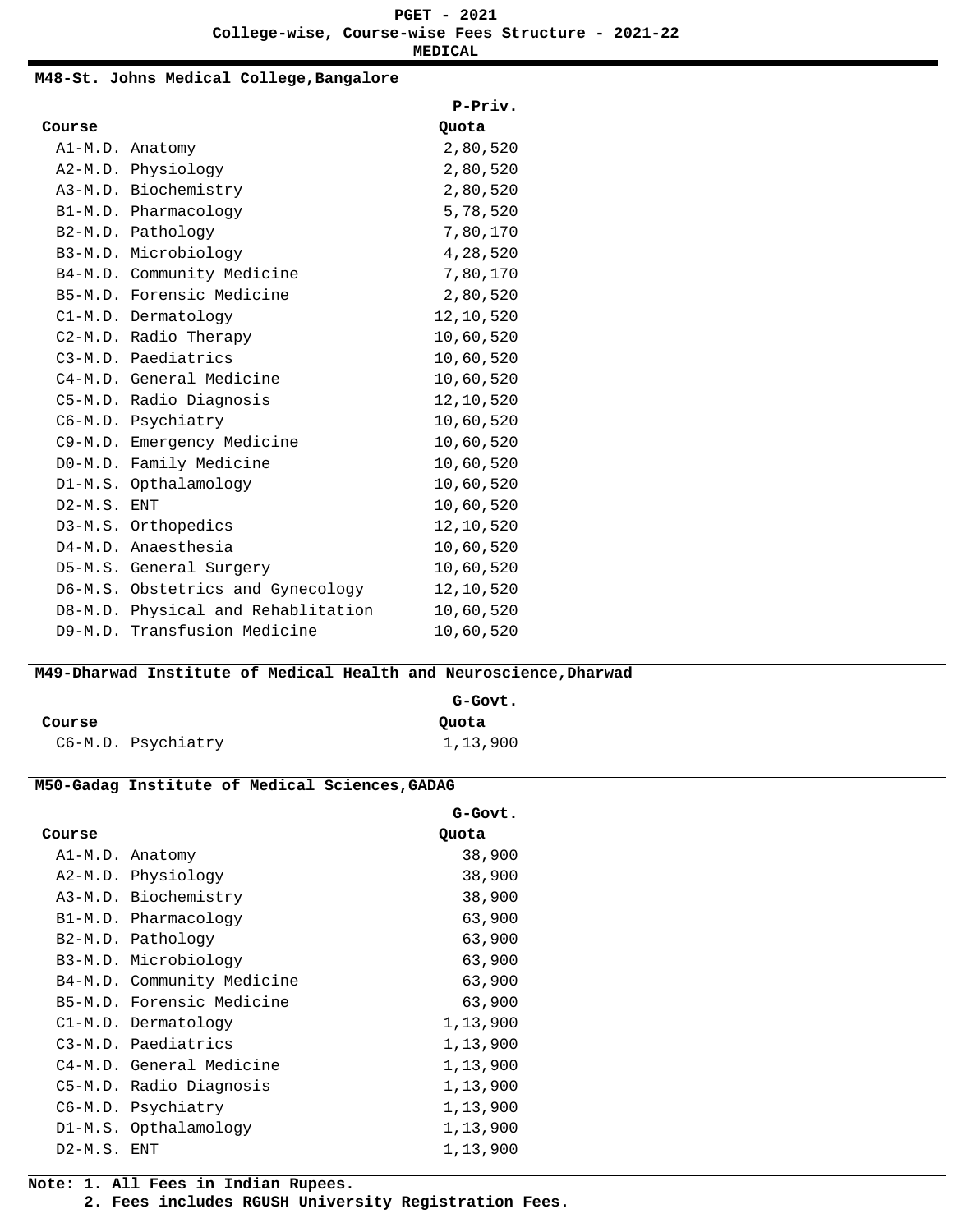#### **M48-St. Johns Medical College,Bangalore**

|             |                                    | P-Priv.   |
|-------------|------------------------------------|-----------|
| Course      |                                    | Quota     |
|             | A1-M.D. Anatomy                    | 2,80,520  |
|             | A2-M.D. Physiology                 | 2,80,520  |
|             | A3-M.D. Biochemistry               | 2,80,520  |
|             | B1-M.D. Pharmacology               | 5,78,520  |
|             | B2-M.D. Pathology                  | 7,80,170  |
|             | B3-M.D. Microbiology               | 4,28,520  |
|             | B4-M.D. Community Medicine         | 7,80,170  |
|             | B5-M.D. Forensic Medicine          | 2,80,520  |
|             | C1-M.D. Dermatology                | 12,10,520 |
|             | C2-M.D. Radio Therapy              | 10,60,520 |
|             | C3-M.D. Paediatrics                | 10,60,520 |
|             | C4-M.D. General Medicine           | 10,60,520 |
|             | C5-M.D. Radio Diagnosis            | 12,10,520 |
|             | C6-M.D. Psychiatry                 | 10,60,520 |
|             | C9-M.D. Emergency Medicine         | 10,60,520 |
|             | DO-M.D. Family Medicine            | 10,60,520 |
|             | D1-M.S. Opthalamology              | 10,60,520 |
| D2-M.S. ENT |                                    | 10,60,520 |
|             | D3-M.S. Orthopedics                | 12,10,520 |
|             | D4-M.D. Anaesthesia                | 10,60,520 |
|             | D5-M.S. General Surgery            | 10,60,520 |
|             | D6-M.S. Obstetrics and Gynecology  | 12,10,520 |
|             | D8-M.D. Physical and Rehablitation | 10,60,520 |
|             | D9-M.D. Transfusion Medicine       | 10,60,520 |

#### **M49-Dharwad Institute of Medical Health and Neuroscience,Dharwad**

|        |                    | G-Govt.  |
|--------|--------------------|----------|
| Course |                    | Quota    |
|        | C6-M.D. Psychiatry | 1,13,900 |

#### **M50-Gadag Institute of Medical Sciences,GADAG**

|               |                            | G-Govt.  |
|---------------|----------------------------|----------|
| Course        |                            | Quota    |
|               | A1-M.D. Anatomy            | 38,900   |
|               | A2-M.D. Physiology         | 38,900   |
|               | A3-M.D. Biochemistry       | 38,900   |
|               | B1-M.D. Pharmacology       | 63,900   |
|               | B2-M.D. Pathology          | 63,900   |
|               | B3-M.D. Microbiology       | 63,900   |
|               | B4-M.D. Community Medicine | 63,900   |
|               | B5-M.D. Forensic Medicine  | 63,900   |
|               | C1-M.D. Dermatology        | 1,13,900 |
|               | C3-M.D. Paediatrics        | 1,13,900 |
|               | C4-M.D. General Medicine   | 1,13,900 |
|               | C5-M.D. Radio Diagnosis    | 1,13,900 |
|               | C6-M.D. Psychiatry         | 1,13,900 |
|               | D1-M.S. Opthalamology      | 1,13,900 |
| $D2-M.S.$ ENT |                            | 1,13,900 |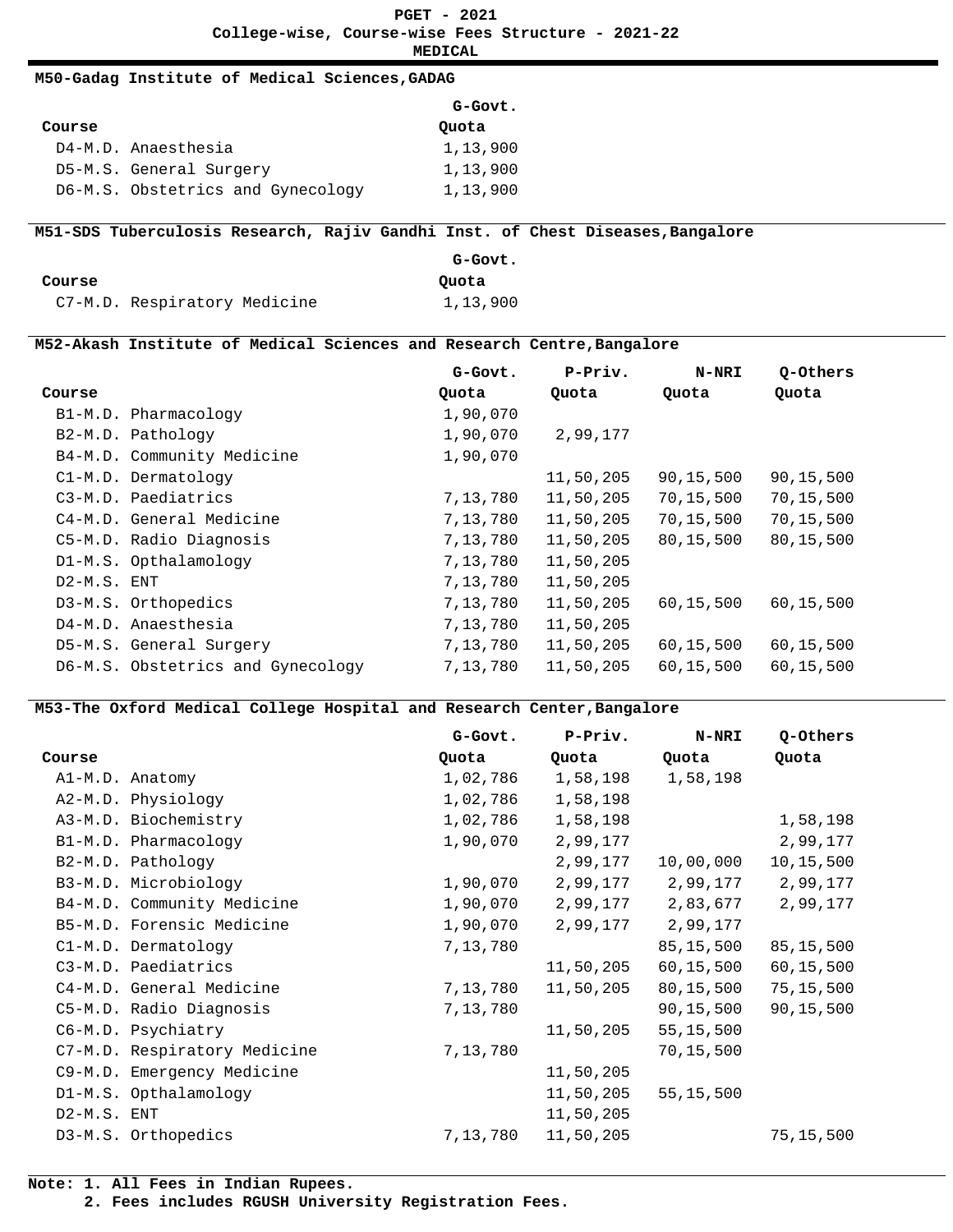#### **M50-Gadag Institute of Medical Sciences,GADAG**

|        |                                   | G-Govt.  |
|--------|-----------------------------------|----------|
| Course |                                   | Quota    |
|        | D4-M.D. Anaesthesia               | 1,13,900 |
|        | D5-M.S. General Surgery           | 1,13,900 |
|        | D6-M.S. Obstetrics and Gynecology | 1,13,900 |

### **M51-SDS Tuberculosis Research, Rajiv Gandhi Inst. of Chest Diseases,Bangalore**

|        |                              | G-Govt.  |
|--------|------------------------------|----------|
| Course |                              | Ouota    |
|        | C7-M.D. Respiratory Medicine | 1,13,900 |

### **M52-Akash Institute of Medical Sciences and Research Centre,Bangalore**

|             |                                   | G-Govt.  | P-Priv.   | N-NRI       | Q-Others  |
|-------------|-----------------------------------|----------|-----------|-------------|-----------|
| Course      |                                   | Quota    | Quota     | Quota       | Quota     |
|             | B1-M.D. Pharmacology              | 1,90,070 |           |             |           |
|             | B2-M.D. Pathology                 | 1,90,070 | 2,99,177  |             |           |
|             | B4-M.D. Community Medicine        | 1,90,070 |           |             |           |
|             | C1-M.D. Dermatology               |          | 11,50,205 | 90, 15, 500 | 90,15,500 |
|             | C3-M.D. Paediatrics               | 7,13,780 | 11,50,205 | 70,15,500   | 70,15,500 |
|             | C4-M.D. General Medicine          | 7,13,780 | 11,50,205 | 70,15,500   | 70,15,500 |
|             | C5-M.D. Radio Diagnosis           | 7,13,780 | 11,50,205 | 80,15,500   | 80,15,500 |
|             | D1-M.S. Opthalamology             | 7,13,780 | 11,50,205 |             |           |
| D2-M.S. ENT |                                   | 7,13,780 | 11,50,205 |             |           |
|             | D3-M.S. Orthopedics               | 7,13,780 | 11,50,205 | 60,15,500   | 60,15,500 |
|             | D4-M.D. Anaesthesia               | 7,13,780 | 11,50,205 |             |           |
|             | D5-M.S. General Surgery           | 7,13,780 | 11,50,205 | 60,15,500   | 60,15,500 |
|             | D6-M.S. Obstetrics and Gynecology | 7,13,780 | 11,50,205 | 60,15,500   | 60,15,500 |

#### **M53-The Oxford Medical College Hospital and Research Center,Bangalore**

|             |                              | G-Govt.  | P-Priv.           | <b>N-NRI</b>                        | Q-Others    |
|-------------|------------------------------|----------|-------------------|-------------------------------------|-------------|
| Course      |                              | Quota    | Quota             | Quota                               | Quota       |
|             | A1-M.D. Anatomy              |          | 1,02,786 1,58,198 | 1,58,198                            |             |
|             | A2-M.D. Physiology           |          | 1,02,786 1,58,198 |                                     |             |
|             | A3-M.D. Biochemistry         |          | 1,02,786 1,58,198 |                                     | 1,58,198    |
|             | B1-M.D. Pharmacology         | 1,90,070 | 2,99,177          |                                     | 2,99,177    |
|             | B2-M.D. Pathology            |          | 2,99,177          | 10,00,000                           | 10,15,500   |
|             | B3-M.D. Microbiology         | 1,90,070 |                   | 2,99,177 2,99,177 2,99,177          |             |
|             | B4-M.D. Community Medicine   |          |                   | 1,90,070 2,99,177 2,83,677 2,99,177 |             |
|             | B5-M.D. Forensic Medicine    | 1,90,070 | 2,99,177 2,99,177 |                                     |             |
|             | C1-M.D. Dermatology          | 7,13,780 |                   | 85, 15, 500                         | 85,15,500   |
|             | C3-M.D. Paediatrics          |          | 11,50,205         | 60,15,500                           | 60, 15, 500 |
|             | C4-M.D. General Medicine     | 7,13,780 | 11,50,205         | 80,15,500                           | 75,15,500   |
|             | C5-M.D. Radio Diagnosis      | 7,13,780 |                   | 90,15,500                           | 90,15,500   |
|             | C6-M.D. Psychiatry           |          | 11,50,205         | 55, 15, 500                         |             |
|             | C7-M.D. Respiratory Medicine | 7,13,780 |                   | 70,15,500                           |             |
|             | C9-M.D. Emergency Medicine   |          | 11,50,205         |                                     |             |
|             | D1-M.S. Opthalamology        |          | 11,50,205         | 55,15,500                           |             |
| D2-M.S. ENT |                              |          | 11,50,205         |                                     |             |
|             | D3-M.S. Orthopedics          | 7,13,780 | 11,50,205         |                                     | 75,15,500   |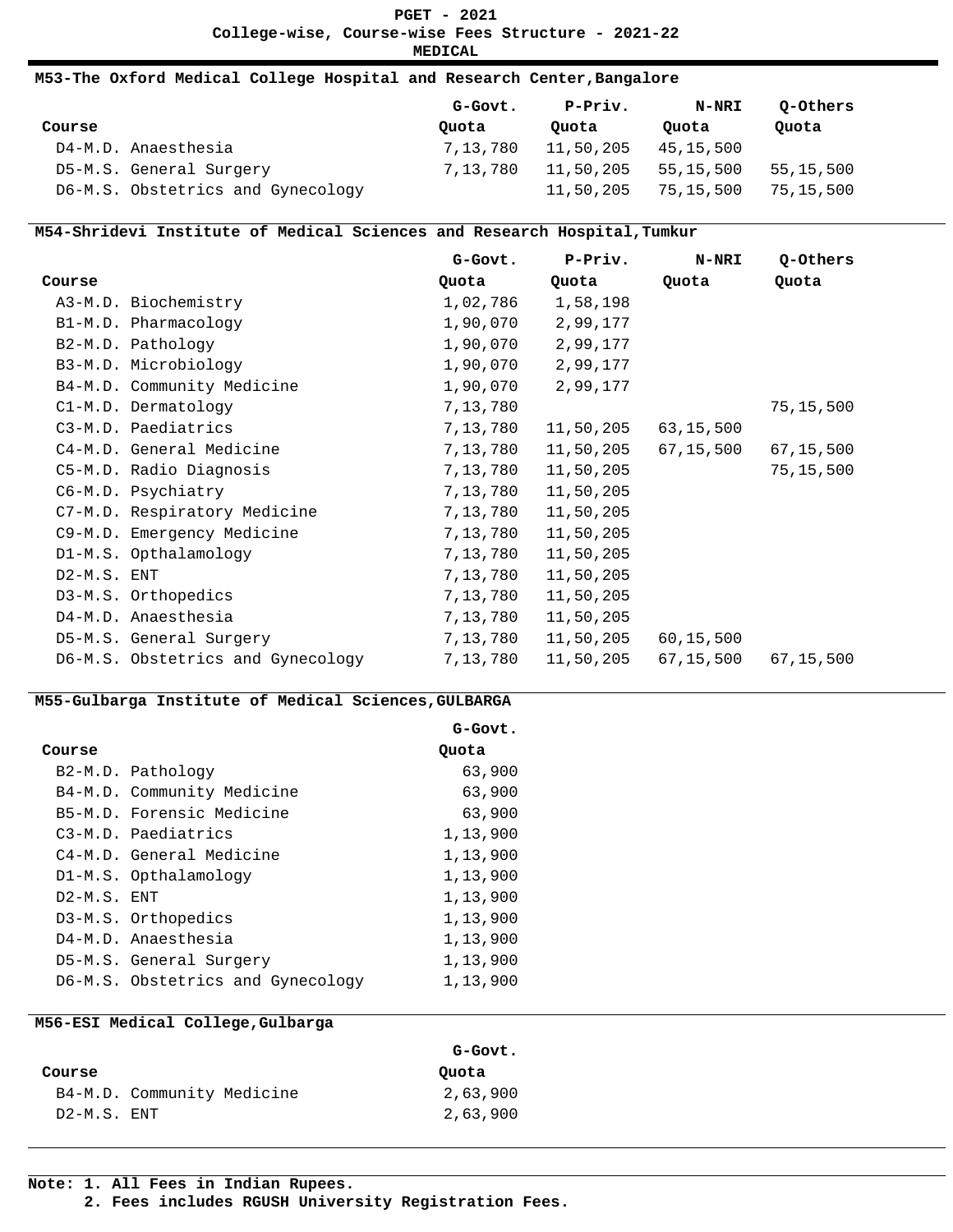#### **M53-The Oxford Medical College Hospital and Research Center,Bangalore**

|                                   | G-Govt.  | P-Priv.   | N-NRI     | Q-Others  |
|-----------------------------------|----------|-----------|-----------|-----------|
| Course                            | Ouota    | Ouota     | Ouota     | Ouota     |
| D4-M.D. Anaesthesia               | 7,13,780 | 11,50,205 | 45,15,500 |           |
| D5-M.S. General Surgery           | 7,13,780 | 11,50,205 | 55,15,500 | 55,15,500 |
| D6-M.S. Obstetrics and Gynecology |          | 11,50,205 | 75,15,500 | 75,15,500 |

### **M54-Shridevi Institute of Medical Sciences and Research Hospital,Tumkur**

|             |                                   | G-Govt.  | P-Priv.   | <b>N-NRI</b> | Q-Others  |
|-------------|-----------------------------------|----------|-----------|--------------|-----------|
| Course      |                                   | Quota    | Quota     | Quota        | Quota     |
|             | A3-M.D. Biochemistry              | 1,02,786 | 1,58,198  |              |           |
|             | B1-M.D. Pharmacology              | 1,90,070 | 2,99,177  |              |           |
|             | B2-M.D. Pathology                 | 1,90,070 | 2,99,177  |              |           |
|             | B3-M.D. Microbiology              | 1,90,070 | 2,99,177  |              |           |
|             | B4-M.D. Community Medicine        | 1,90,070 | 2,99,177  |              |           |
|             | C1-M.D. Dermatology               | 7,13,780 |           |              | 75,15,500 |
|             | C3-M.D. Paediatrics               | 7,13,780 | 11,50,205 | 63,15,500    |           |
|             | C4-M.D. General Medicine          | 7,13,780 | 11,50,205 | 67,15,500    | 67,15,500 |
|             | C5-M.D. Radio Diagnosis           | 7,13,780 | 11,50,205 |              | 75,15,500 |
|             | C6-M.D. Psychiatry                | 7,13,780 | 11,50,205 |              |           |
|             | C7-M.D. Respiratory Medicine      | 7,13,780 | 11,50,205 |              |           |
|             | C9-M.D. Emergency Medicine        | 7,13,780 | 11,50,205 |              |           |
|             | D1-M.S. Opthalamology             | 7,13,780 | 11,50,205 |              |           |
| D2-M.S. ENT |                                   | 7,13,780 | 11,50,205 |              |           |
|             | D3-M.S. Orthopedics               | 7,13,780 | 11,50,205 |              |           |
|             | D4-M.D. Anaesthesia               | 7,13,780 | 11,50,205 |              |           |
|             | D5-M.S. General Surgery           | 7,13,780 | 11,50,205 | 60,15,500    |           |
|             | D6-M.S. Obstetrics and Gynecology | 7,13,780 | 11,50,205 | 67,15,500    | 67,15,500 |

#### **M55-Gulbarga Institute of Medical Sciences,GULBARGA**

| G-Govt.                                                                                                                                                                                                                                                                                 |
|-----------------------------------------------------------------------------------------------------------------------------------------------------------------------------------------------------------------------------------------------------------------------------------------|
| Quota                                                                                                                                                                                                                                                                                   |
| 63,900                                                                                                                                                                                                                                                                                  |
| 63,900                                                                                                                                                                                                                                                                                  |
| 63,900                                                                                                                                                                                                                                                                                  |
| 1,13,900                                                                                                                                                                                                                                                                                |
| 1,13,900                                                                                                                                                                                                                                                                                |
| 1,13,900                                                                                                                                                                                                                                                                                |
| 1,13,900                                                                                                                                                                                                                                                                                |
| 1,13,900                                                                                                                                                                                                                                                                                |
| 1,13,900                                                                                                                                                                                                                                                                                |
| 1,13,900                                                                                                                                                                                                                                                                                |
| 1,13,900                                                                                                                                                                                                                                                                                |
| B2-M.D. Pathology<br>B4-M.D. Community Medicine<br>B5-M.D. Forensic Medicine<br>C3-M.D. Paediatrics<br>C4-M.D. General Medicine<br>D1-M.S. Opthalamology<br>$D2-M.S.$ ENT<br>D3-M.S. Orthopedics<br>D4-M.D. Anaesthesia<br>D5-M.S. General Surgery<br>D6-M.S. Obstetrics and Gynecology |

### **M56-ESI Medical College,Gulbarga**

|               |                            | G-Govt.  |
|---------------|----------------------------|----------|
| Course        |                            | Quota    |
|               | B4-M.D. Community Medicine | 2,63,900 |
| $D2-M.S.$ ENT |                            | 2,63,900 |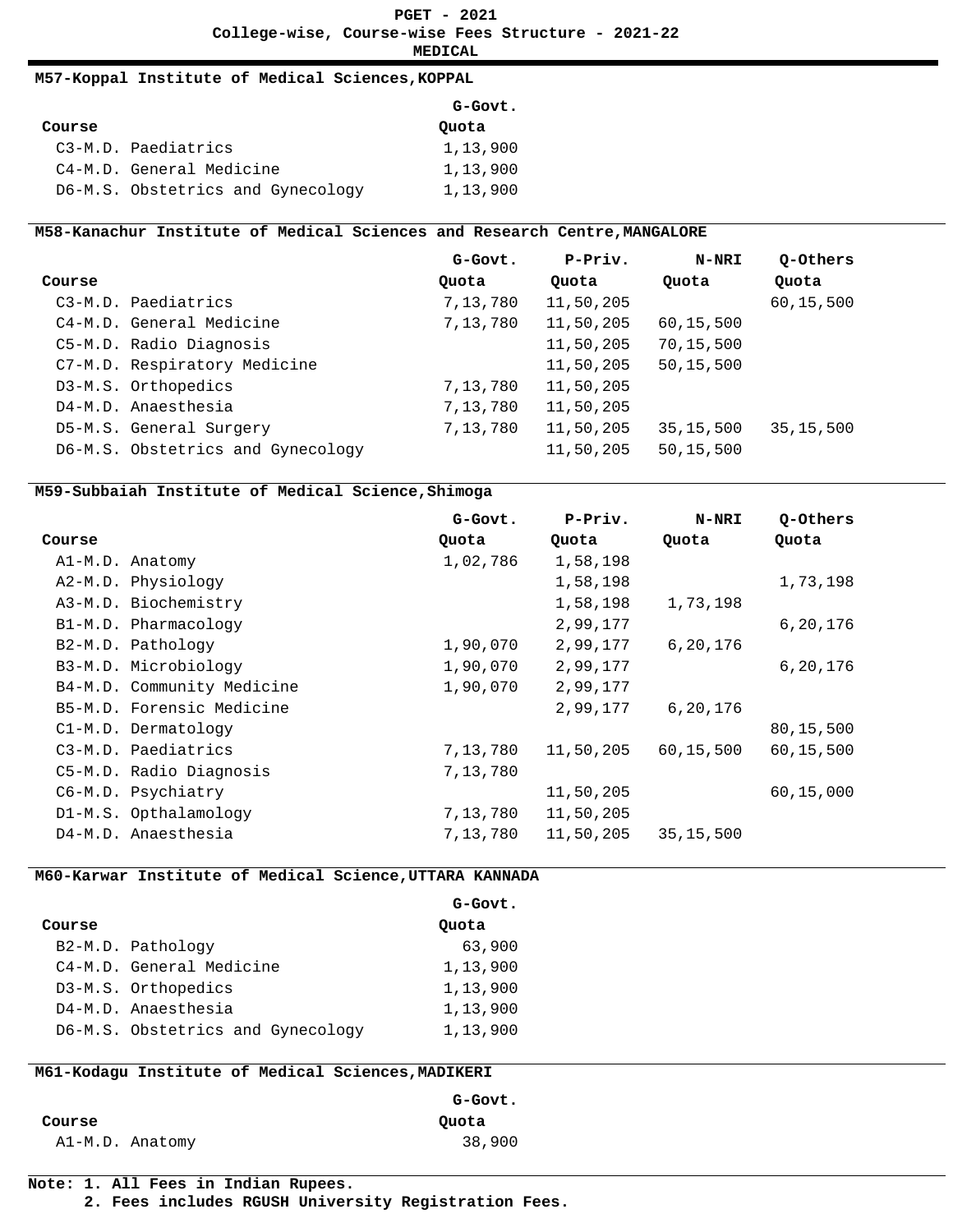#### **M57-Koppal Institute of Medical Sciences,KOPPAL**

|        |                                   | G-Govt.  |
|--------|-----------------------------------|----------|
| Course |                                   | Quota    |
|        | C3-M.D. Paediatrics               | 1,13,900 |
|        | C4-M.D. General Medicine          | 1,13,900 |
|        | D6-M.S. Obstetrics and Gynecology | 1,13,900 |

### **M58-Kanachur Institute of Medical Sciences and Research Centre,MANGALORE**

|        |                                   | G-Govt.  | P-Priv.   | N-NRI       | Q-Others    |
|--------|-----------------------------------|----------|-----------|-------------|-------------|
| Course |                                   | Quota    | Quota     | Quota       | Quota       |
|        | C3-M.D. Paediatrics               | 7,13,780 | 11,50,205 |             | 60,15,500   |
|        | C4-M.D. General Medicine          | 7,13,780 | 11,50,205 | 60,15,500   |             |
|        | C5-M.D. Radio Diagnosis           |          | 11,50,205 | 70,15,500   |             |
|        | C7-M.D. Respiratory Medicine      |          | 11,50,205 | 50, 15, 500 |             |
|        | D3-M.S. Orthopedics               | 7,13,780 | 11,50,205 |             |             |
|        | D4-M.D. Anaesthesia               | 7,13,780 | 11,50,205 |             |             |
|        | D5-M.S. General Surgery           | 7,13,780 | 11,50,205 | 35,15,500   | 35, 15, 500 |
|        | D6-M.S. Obstetrics and Gynecology |          | 11,50,205 | 50,15,500   |             |

#### **M59-Subbaiah Institute of Medical Science,Shimoga**

|                 |                            | G-Govt.  | P-Priv.   | N-NRI       | Q-Others  |
|-----------------|----------------------------|----------|-----------|-------------|-----------|
| Course          |                            | Quota    | Quota     | Quota       | Quota     |
| A1-M.D. Anatomy |                            | 1,02,786 | 1,58,198  |             |           |
|                 | A2-M.D. Physiology         |          | 1,58,198  |             | 1,73,198  |
|                 | A3-M.D. Biochemistry       |          | 1,58,198  | 1,73,198    |           |
|                 | B1-M.D. Pharmacology       |          | 2,99,177  |             | 6,20,176  |
|                 | B2-M.D. Pathology          | 1,90,070 | 2,99,177  | 6,20,176    |           |
|                 | B3-M.D. Microbiology       | 1,90,070 | 2,99,177  |             | 6,20,176  |
|                 | B4-M.D. Community Medicine | 1,90,070 | 2,99,177  |             |           |
|                 | B5-M.D. Forensic Medicine  |          | 2,99,177  | 6,20,176    |           |
|                 | C1-M.D. Dermatology        |          |           |             | 80,15,500 |
|                 | C3-M.D. Paediatrics        | 7,13,780 | 11,50,205 | 60, 15, 500 | 60,15,500 |
|                 | C5-M.D. Radio Diagnosis    | 7,13,780 |           |             |           |
|                 | C6-M.D. Psychiatry         |          | 11,50,205 |             | 60,15,000 |
|                 | D1-M.S. Opthalamology      | 7,13,780 | 11,50,205 |             |           |
|                 | D4-M.D. Anaesthesia        | 7,13,780 | 11,50,205 | 35, 15, 500 |           |

#### **M60-Karwar Institute of Medical Science,UTTARA KANNADA**

|        |                                   | G-Govt.  |
|--------|-----------------------------------|----------|
| Course |                                   | Quota    |
|        | B2-M.D. Pathology                 | 63,900   |
|        | C4-M.D. General Medicine          | 1,13,900 |
|        | D3-M.S. Orthopedics               | 1,13,900 |
|        | D4-M.D. Anaesthesia               | 1,13,900 |
|        | D6-M.S. Obstetrics and Gynecology | 1,13,900 |

#### **M61-Kodagu Institute of Medical Sciences,MADIKERI**

|        |                 | G-Govt. |
|--------|-----------------|---------|
| Course |                 | Quota   |
|        | Al-M.D. Anatomy | 38,900  |